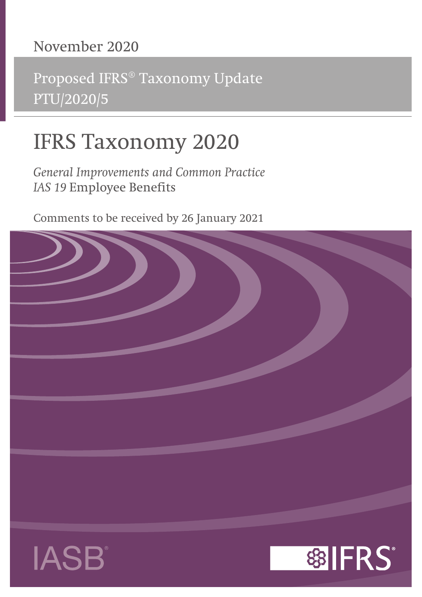# **November 2020**

Proposed IFRS® Taxonomy Update PTU/2020/5

# **IFRS Taxonomy 2020**

*General Improvements and Common Practice IAS 19* **Employee Benefits**

Comments to be received by 26 January 2021

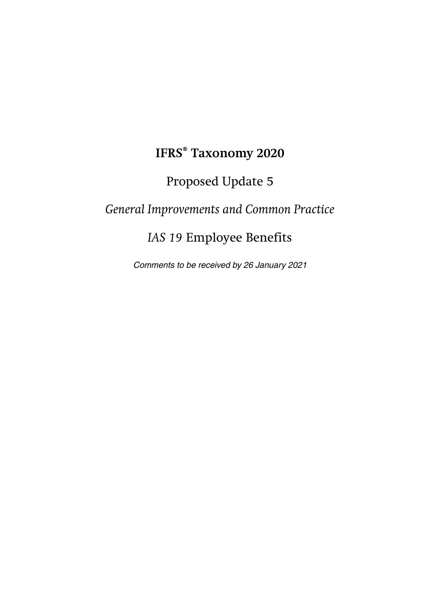# **IFRS® Taxonomy 2020**

# Proposed Update 5

# *General Improvements and Common Practice*

# *IAS 19* Employee Benefits

Comments to be received by 26 January 2021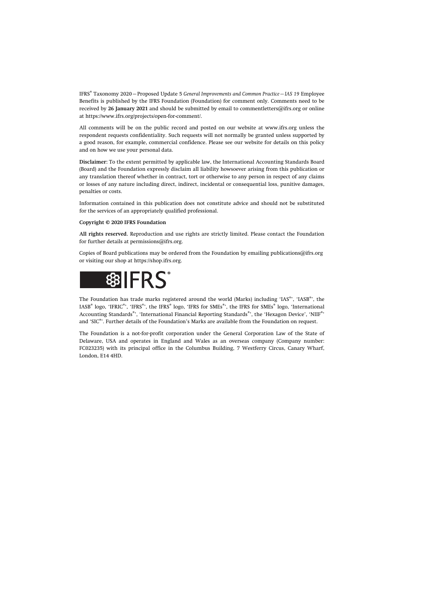IFRS® Taxonomy 2020—Proposed Update 5 *General Improvements and Common Practice—IAS 19* Employee Benefits is published by the IFRS Foundation (Foundation) for comment only. Comments need to be received by **26 January 2021** and should be submitted by email to [commentletters@ifrs.org](mailto:commentletters@ifrs.org) or online at <https://www.ifrs.org/projects/open-for-comment/>.

All comments will be on the public record and posted on our website at [www.ifrs.org](https://www.ifrs.org) unless the respondent requests confidentiality. Such requests will not normally be granted unless supported by a good reason, for example, commercial confidence. Please see our website for details on this policy and on how we use your personal data.

**Disclaimer:** To the extent permitted by applicable law, the International Accounting Standards Board (Board) and the Foundation expressly disclaim all liability howsoever arising from this publication or any translation thereof whether in contract, tort or otherwise to any person in respect of any claims or losses of any nature including direct, indirect, incidental or consequential loss, punitive damages, penalties or costs.

Information contained in this publication does not constitute advice and should not be substituted for the services of an appropriately qualified professional.

#### **Copyright © 2020 IFRS Foundation**

**All rights reserved.** Reproduction and use rights are strictly limited. Please contact the Foundation for further details at [permissions@ifrs.org](mailto:permissions@ifrs.org).

Copies of Board publications may be ordered from the Foundation by emailing [publications@ifrs.org](mailto:publications@ifrs.org)  or visiting our shop at<https://shop.ifrs.org>.



The Foundation has trade marks registered around the world (Marks) including 'IAS®, 'IASB®, the IASB® logo, 'IFRIC®', 'IFRS®', the IFRS® logo, 'IFRS for SMEs®', the IFRS for SMEs® logo, 'International Accounting Standards®', 'International Financial Reporting Standards®', the 'Hexagon Device', 'NIIF®' and 'SIC®'. Further details of the Foundation's Marks are available from the Foundation on request.

The Foundation is a not-for-profit corporation under the General Corporation Law of the State of Delaware, USA and operates in England and Wales as an overseas company (Company number: FC023235) with its principal office in the Columbus Building, 7 Westferry Circus, Canary Wharf, London, E14 4HD.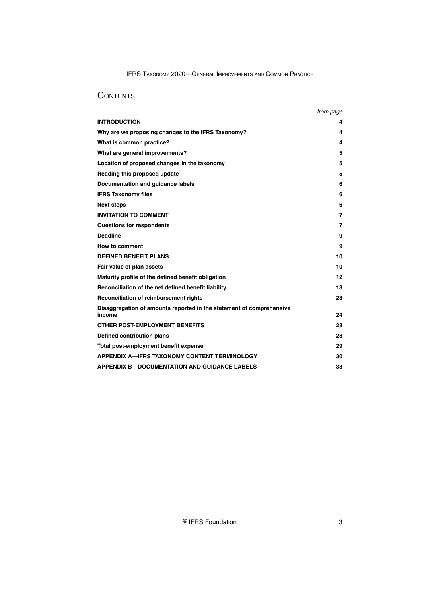# **CONTENTS**

|                                                                                | from page |
|--------------------------------------------------------------------------------|-----------|
| <b>INTRODUCTION</b>                                                            | 4         |
| Why are we proposing changes to the IFRS Taxonomy?                             | 4         |
| What is common practice?                                                       | 4         |
| What are general improvements?                                                 | 5         |
| Location of proposed changes in the taxonomy                                   | 5         |
| Reading this proposed update                                                   | 5         |
| Documentation and guidance labels                                              | 6         |
| <b>IFRS Taxonomy files</b>                                                     | 6         |
| <b>Next steps</b>                                                              | 6         |
| <b>INVITATION TO COMMENT</b>                                                   | 7         |
| Questions for respondents                                                      | 7         |
| <b>Deadline</b>                                                                | 9         |
| How to comment                                                                 | 9         |
| <b>DEFINED BENEFIT PLANS</b>                                                   | 10        |
| Fair value of plan assets                                                      | 10        |
| Maturity profile of the defined benefit obligation                             | 12        |
| Reconciliation of the net defined benefit liability                            | 13        |
| Reconciliation of reimbursement rights                                         | 23        |
| Disaggregation of amounts reported in the statement of comprehensive<br>income | 24        |
| OTHER POST-EMPLOYMENT BENEFITS                                                 | 28        |
| Defined contribution plans                                                     | 28        |
| Total post-employment benefit expense                                          | 29        |
| <b>APPENDIX A-IFRS TAXONOMY CONTENT TERMINOLOGY</b>                            | 30        |
| <b>APPENDIX B-DOCUMENTATION AND GUIDANCE LABELS</b>                            | 33        |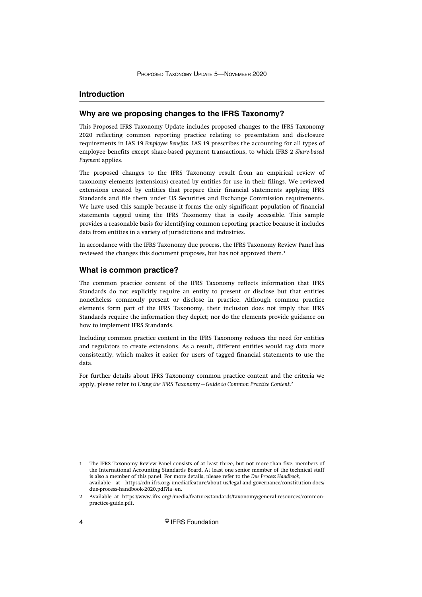# <span id="page-4-0"></span>**Introduction**

# **Why are we proposing changes to the IFRS Taxonomy?**

This Proposed IFRS Taxonomy Update includes proposed changes to the IFRS Taxonomy 2020 reflecting common reporting practice relating to presentation and disclosure requirements in IAS 19 *Employee Benefits*. IAS 19 prescribes the accounting for all types of employee benefits except share-based payment transactions, to which IFRS 2 *Share-based Payment* applies.

The proposed changes to the IFRS Taxonomy result from an empirical review of taxonomy elements (extensions) created by entities for use in their filings. We reviewed extensions created by entities that prepare their financial statements applying IFRS Standards and file them under US Securities and Exchange Commission requirements. We have used this sample because it forms the only significant population of financial statements tagged using the IFRS Taxonomy that is easily accessible. This sample provides a reasonable basis for identifying common reporting practice because it includes data from entities in a variety of jurisdictions and industries.

In accordance with the IFRS Taxonomy due process, the IFRS Taxonomy Review Panel has reviewed the changes this document proposes, but has not approved them.<sup>1</sup>

#### **What is common practice?**

The common practice content of the IFRS Taxonomy reflects information that IFRS Standards do not explicitly require an entity to present or disclose but that entities nonetheless commonly present or disclose in practice. Although common practice elements form part of the IFRS Taxonomy, their inclusion does not imply that IFRS Standards require the information they depict; nor do the elements provide guidance on how to implement IFRS Standards.

Including common practice content in the IFRS Taxonomy reduces the need for entities and regulators to create extensions. As a result, different entities would tag data more consistently, which makes it easier for users of tagged financial statements to use the data.

For further details about IFRS Taxonomy common practice content and the criteria we apply, please refer to *Using the IFRS Taxonomy—Guide to Common Practice Content*. 2

<sup>1</sup> The IFRS Taxonomy Review Panel consists of at least three, but not more than five, members of the International Accounting Standards Board. At least one senior member of the technical staff is also a member of this panel. For more details, please refer to the *Due Process Handbook*, available at [https://cdn.ifrs.org/-/media/feature/about-us/legal-and-governance/constitution-docs/](https://cdn.ifrs.org/-/media/feature/about-us/legal-and-governance/constitution-docs/due-process-handbook-2020.pdf?la=en) [due-process-handbook-2020.pdf?la=en](https://cdn.ifrs.org/-/media/feature/about-us/legal-and-governance/constitution-docs/due-process-handbook-2020.pdf?la=en).

<sup>2</sup> Available at [https://www.ifrs.org/-/media/feature/standards/taxonomy/general-resources/common](https://www.ifrs.org/-/media/feature/standards/taxonomy/general-resources/common-practice-guide.pdf)[practice-guide.pdf](https://www.ifrs.org/-/media/feature/standards/taxonomy/general-resources/common-practice-guide.pdf).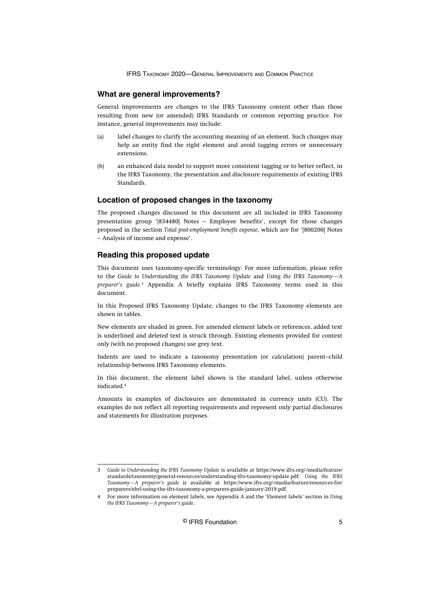#### <span id="page-5-0"></span>**What are general improvements?**

General improvements are changes to the IFRS Taxonomy content other than those resulting from new (or amended) IFRS Standards or common reporting practice. For instance, general improvements may include:

- (a) label changes to clarify the accounting meaning of an element. Such changes may help an entity find the right element and avoid tagging errors or unnecessary extensions.
- (b) an enhanced data model to support more consistent tagging or to better reflect, in the IFRS Taxonomy, the presentation and disclosure requirements of existing IFRS Standards.

# **Location of proposed changes in the taxonomy**

The proposed changes discussed in this document are all included in IFRS Taxonomy presentation group '[834480] Notes – Employee benefits', except for those changes proposed in the section *Total post-employment benefit expense*, which are for '[800200] Notes – Analysis of income and expense'.

# **Reading this proposed update**

This document uses taxonomy-specific terminology. For more information, please refer to the *Guide to Understanding the IFRS Taxonomy Update* and *Using the IFRS Taxonomy—A preparer's guide*. 3 Appendix A briefly explains IFRS Taxonomy terms used in this document.

In this Proposed IFRS Taxonomy Update, changes to the IFRS Taxonomy elements are shown in tables.

New elements are shaded in green. For amended element labels or references, added text is underlined and deleted text is struck through. Existing elements provided for context only (with no proposed changes) use grey text.

Indents are used to indicate a taxonomy presentation (or calculation) parent–child relationship between IFRS Taxonomy elements.

In this document, the element label shown is the standard label, unless otherwise indicated.<sup>4</sup>

Amounts in examples of disclosures are denominated in currency units (CU). The examples do not reflect all reporting requirements and represent only partial disclosures and statements for illustration purposes.

<sup>3</sup> *Guide to Understanding the IFRS Taxonomy Update* is available at [https://www.ifrs.org/-/media/feature/](https://www.ifrs.org/-/media/feature/standards/taxonomy/general-resources/understanding-ifrs-taxonomy-update.pdf) [standards/taxonomy/general-resources/understanding-ifrs-taxonomy-update.pdf](https://www.ifrs.org/-/media/feature/standards/taxonomy/general-resources/understanding-ifrs-taxonomy-update.pdf). *Using the IFRS Taxonomy—A preparer's guide* is available at [https://www.ifrs.org/-/media/feature/resources-for/](https://www.ifrs.org/-/media/feature/resources-for/preparers/xbrl-using-the-ifrs-taxonomy-a-preparers-guide-january-2019.pdf) [preparers/xbrl-using-the-ifrs-taxonomy-a-preparers-guide-january-2019.pdf.](https://www.ifrs.org/-/media/feature/resources-for/preparers/xbrl-using-the-ifrs-taxonomy-a-preparers-guide-january-2019.pdf)

<sup>4</sup> For more information on element labels, see Appendix A and the 'Element labels' section in *Using the IFRS Taxonomy—A preparer's guide*.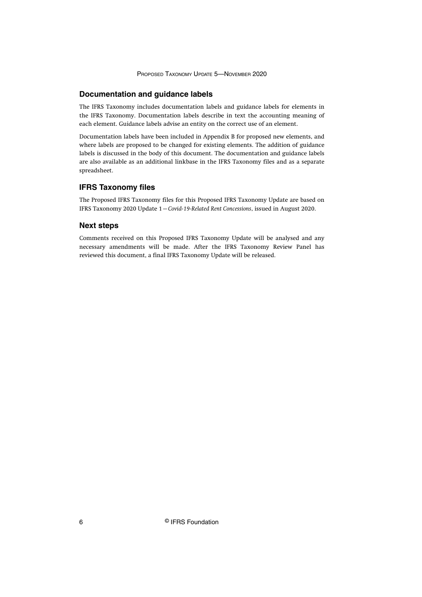# <span id="page-6-0"></span>**Documentation and guidance labels**

The IFRS Taxonomy includes documentation labels and guidance labels for elements in the IFRS Taxonomy. Documentation labels describe in text the accounting meaning of each element. Guidance labels advise an entity on the correct use of an element.

Documentation labels have been included in Appendix B for proposed new elements, and where labels are proposed to be changed for existing elements. The addition of guidance labels is discussed in the body of this document. The documentation and guidance labels are also available as an additional linkbase in the IFRS Taxonomy files and as a separate spreadsheet.

#### **IFRS Taxonomy files**

The Proposed IFRS Taxonomy files for this Proposed IFRS Taxonomy Update are based on IFRS Taxonomy 2020 Update 1—*Covid-19-Related Rent Concessions*, issued in August 2020.

#### **Next steps**

Comments received on this Proposed IFRS Taxonomy Update will be analysed and any necessary amendments will be made. After the IFRS Taxonomy Review Panel has reviewed this document, a final IFRS Taxonomy Update will be released.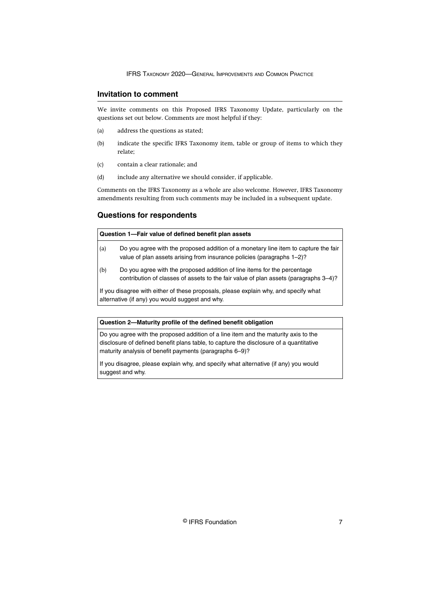# <span id="page-7-0"></span>**Invitation to comment**

We invite comments on this Proposed IFRS Taxonomy Update, particularly on the questions set out below. Comments are most helpful if they:

- (a) address the questions as stated;
- (b) indicate the specific IFRS Taxonomy item, table or group of items to which they relate;
- (c) contain a clear rationale; and
- (d) include any alternative we should consider, if applicable.

Comments on the IFRS Taxonomy as a whole are also welcome. However, IFRS Taxonomy amendments resulting from such comments may be included in a subsequent update.

# **Questions for respondents**

|     | Question 1—Fair value of defined benefit plan assets                                                                                                             |  |  |  |  |
|-----|------------------------------------------------------------------------------------------------------------------------------------------------------------------|--|--|--|--|
| (a) | Do you agree with the proposed addition of a monetary line item to capture the fair<br>value of plan assets arising from insurance policies (paragraphs 1–2)?    |  |  |  |  |
| (b) | Do you agree with the proposed addition of line items for the percentage<br>contribution of classes of assets to the fair value of plan assets (paragraphs 3–4)? |  |  |  |  |

If you disagree with either of these proposals, please explain why, and specify what alternative (if any) you would suggest and why.

#### **Question 2—Maturity profile of the defined benefit obligation**

Do you agree with the proposed addition of a line item and the maturity axis to the disclosure of defined benefit plans table, to capture the disclosure of a quantitative maturity analysis of benefit payments (paragraphs 6–9)?

If you disagree, please explain why, and specify what alternative (if any) you would suggest and why.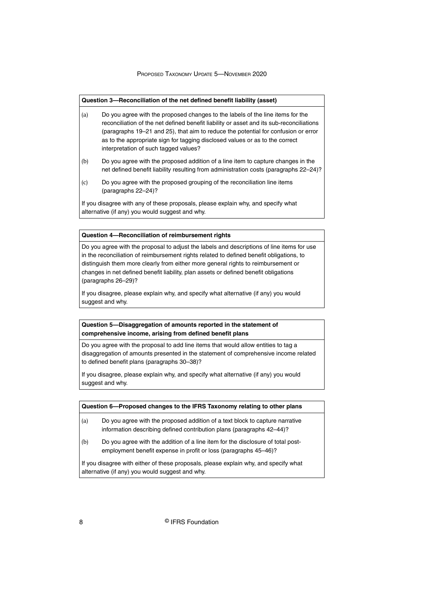#### **Question 3—Reconciliation of the net defined benefit liability (asset)**

- (a) Do you agree with the proposed changes to the labels of the line items for the reconciliation of the net defined benefit liability or asset and its sub-reconciliations (paragraphs 19–21 and 25), that aim to reduce the potential for confusion or error as to the appropriate sign for tagging disclosed values or as to the correct interpretation of such tagged values?
- (b) Do you agree with the proposed addition of a line item to capture changes in the net defined benefit liability resulting from administration costs (paragraphs 22–24)?
- (c) Do you agree with the proposed grouping of the reconciliation line items (paragraphs 22–24)?

If you disagree with any of these proposals, please explain why, and specify what alternative (if any) you would suggest and why.

#### **Question 4—Reconciliation of reimbursement rights**

Do you agree with the proposal to adjust the labels and descriptions of line items for use in the reconciliation of reimbursement rights related to defined benefit obligations, to distinguish them more clearly from either more general rights to reimbursement or changes in net defined benefit liability, plan assets or defined benefit obligations (paragraphs 26–29)?

If you disagree, please explain why, and specify what alternative (if any) you would suggest and why.

# **Question 5—Disaggregation of amounts reported in the statement of comprehensive income, arising from defined benefit plans**

Do you agree with the proposal to add line items that would allow entities to tag a disaggregation of amounts presented in the statement of comprehensive income related to defined benefit plans (paragraphs 30–38)?

If you disagree, please explain why, and specify what alternative (if any) you would suggest and why.

#### **Question 6—Proposed changes to the IFRS Taxonomy relating to other plans**

- (a) Do you agree with the proposed addition of a text block to capture narrative information describing defined contribution plans (paragraphs 42–44)?
- (b) Do you agree with the addition of a line item for the disclosure of total postemployment benefit expense in profit or loss (paragraphs 45–46)?

If you disagree with either of these proposals, please explain why, and specify what alternative (if any) you would suggest and why.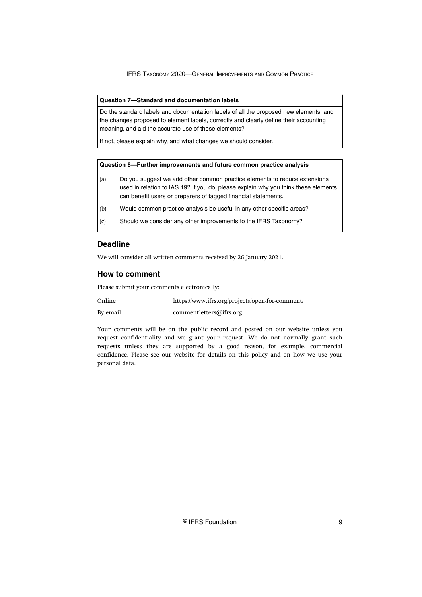#### <span id="page-9-0"></span>**Question 7—Standard and documentation labels**

Do the standard labels and documentation labels of all the proposed new elements, and the changes proposed to element labels, correctly and clearly define their accounting meaning, and aid the accurate use of these elements?

If not, please explain why, and what changes we should consider.

#### **Question 8—Further improvements and future common practice analysis**

- (a) Do you suggest we add other common practice elements to reduce extensions used in relation to IAS 19? If you do, please explain why you think these elements can benefit users or preparers of tagged financial statements.
- (b) Would common practice analysis be useful in any other specific areas?
- (c) Should we consider any other improvements to the IFRS Taxonomy?

# **Deadline**

We will consider all written comments received by 26 January 2021.

#### **How to comment**

Please submit your comments electronically:

| Online | https://www.ifrs.org/projects/open-for-comment/ |  |
|--------|-------------------------------------------------|--|

By email [commentletters@ifrs.org](mailto:commentletters@ifrs.org)

Your comments will be on the public record and posted on our website unless you request confidentiality and we grant your request. We do not normally grant such requests unless they are supported by a good reason, for example, commercial confidence. Please see our website for details on this policy and on how we use your personal data.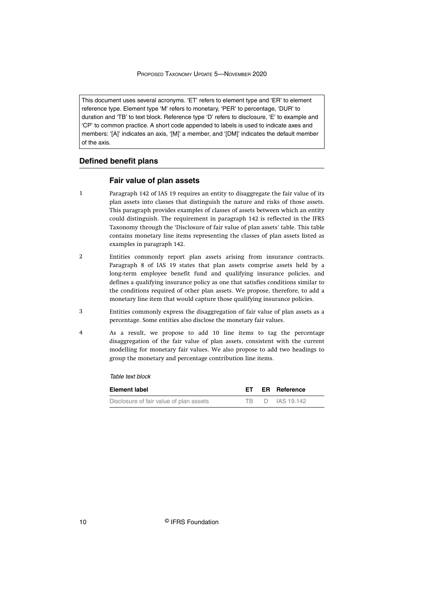<span id="page-10-0"></span>This document uses several acronyms. 'ET' refers to element type and 'ER' to element reference type. Element type 'M' refers to monetary, 'PER' to percentage, 'DUR' to duration and 'TB' to text block. Reference type 'D' refers to disclosure, 'E' to example and 'CP' to common practice. A short code appended to labels is used to indicate axes and members: '[A]' indicates an axis, '[M]' a member, and '[DM]' indicates the default member of the axis.

# **Defined benefit plans**

#### **Fair value of plan assets**

- Paragraph 142 of IAS 19 requires an entity to disaggregate the fair value of its plan assets into classes that distinguish the nature and risks of those assets. This paragraph provides examples of classes of assets between which an entity could distinguish. The requirement in paragraph 142 is reflected in the IFRS Taxonomy through the 'Disclosure of fair value of plan assets' table. This table contains monetary line items representing the classes of plan assets listed as examples in paragraph 142. 1
- Entities commonly report plan assets arising from insurance contracts. Paragraph 8 of IAS 19 states that plan assets comprise assets held by a long‑term employee benefit fund and qualifying insurance policies, and defines a qualifying insurance policy as one that satisfies conditions similar to the conditions required of other plan assets. We propose, therefore, to add a monetary line item that would capture those qualifying insurance policies. 2
- Entities commonly express the disaggregation of fair value of plan assets as a percentage. Some entities also disclose the monetary fair values. 3
- As a result, we propose to add 10 line items to tag the percentage disaggregation of the fair value of plan assets, consistent with the current modelling for monetary fair values. We also propose to add two headings to group the monetary and percentage contribution line items. 4

# Table text block

| Element label                           |      | <b>ET ER Reference</b> |  |
|-----------------------------------------|------|------------------------|--|
| Disclosure of fair value of plan assets | TR - | D IAS 19.142           |  |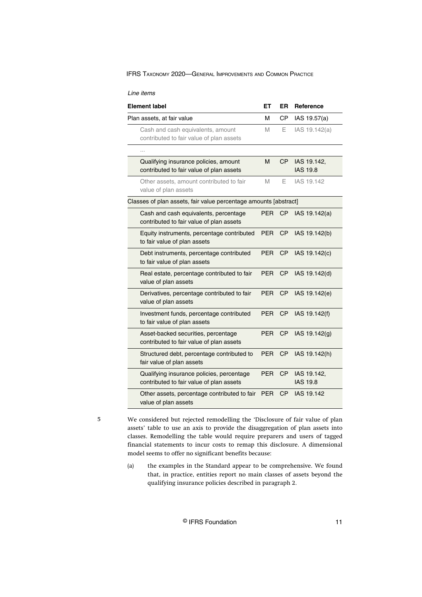| Line items |
|------------|
|            |
|            |

| Element label                                                                         | EТ         | ER        | <b>Reference</b>               |
|---------------------------------------------------------------------------------------|------------|-----------|--------------------------------|
| Plan assets, at fair value                                                            | М          | СP        | IAS 19.57(a)                   |
| Cash and cash equivalents, amount<br>contributed to fair value of plan assets         | M          | Е         | IAS 19.142(a)                  |
| .                                                                                     |            |           |                                |
| Qualifying insurance policies, amount<br>contributed to fair value of plan assets     | M          | СP        | IAS 19.142,<br><b>IAS 19.8</b> |
| Other assets, amount contributed to fair<br>value of plan assets                      | M          | Е         | IAS 19.142                     |
| Classes of plan assets, fair value percentage amounts [abstract]                      |            |           |                                |
| Cash and cash equivalents, percentage<br>contributed to fair value of plan assets     | PER        | СP        | IAS 19.142(a)                  |
| Equity instruments, percentage contributed<br>to fair value of plan assets            | <b>PER</b> | <b>CP</b> | IAS 19.142(b)                  |
| Debt instruments, percentage contributed<br>to fair value of plan assets              | <b>PER</b> | CP        | IAS 19.142(c)                  |
| Real estate, percentage contributed to fair<br>value of plan assets                   | <b>PER</b> | <b>CP</b> | IAS 19.142(d)                  |
| Derivatives, percentage contributed to fair<br>value of plan assets                   | PER        | СP        | IAS 19.142(e)                  |
| Investment funds, percentage contributed<br>to fair value of plan assets              | PER        | СP        | IAS 19.142(f)                  |
| Asset-backed securities, percentage<br>contributed to fair value of plan assets       | <b>PER</b> | <b>CP</b> | IAS 19.142(g)                  |
| Structured debt, percentage contributed to<br>fair value of plan assets               | <b>PER</b> | <b>CP</b> | IAS 19.142(h)                  |
| Qualifying insurance policies, percentage<br>contributed to fair value of plan assets | <b>PER</b> | СP        | IAS 19.142,<br><b>IAS 19.8</b> |
| Other assets, percentage contributed to fair<br>value of plan assets                  | PER        | СP        | IAS 19.142                     |

5

We considered but rejected remodelling the 'Disclosure of fair value of plan assets' table to use an axis to provide the disaggregation of plan assets into classes. Remodelling the table would require preparers and users of tagged financial statements to incur costs to remap this disclosure. A dimensional model seems to offer no significant benefits because:

(a) the examples in the Standard appear to be comprehensive. We found that, in practice, entities report no main classes of assets beyond the qualifying insurance policies described in paragraph 2.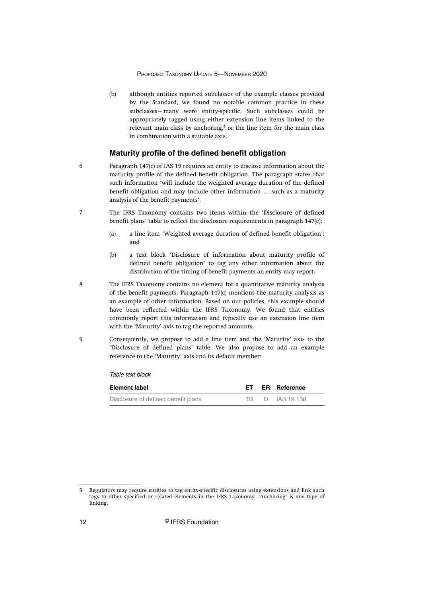<span id="page-12-0"></span>(b) although entities reported subclasses of the example classes provided by the Standard, we found no notable common practice in these subclasses—many were entity-specific. Such subclasses could be appropriately tagged using either extension line items linked to the relevant main class by anchoring,<sup>5</sup> or the line item for the main class in combination with a suitable axis.

#### **Maturity profile of the defined benefit obligation**

- Paragraph 147(c) of IAS 19 requires an entity to disclose information about the maturity profile of the defined benefit obligation. The paragraph states that such information 'will include the weighted average duration of the defined benefit obligation and may include other information … such as a maturity analysis of the benefit payments'. 6
	- The IFRS Taxonomy contains two items within the 'Disclosure of defined benefit plans' table to reflect the disclosure requirements in paragraph 147(c):
		- (a) a line item 'Weighted average duration of defined benefit obligation'; and
		- (b) a text block 'Disclosure of information about maturity profile of defined benefit obligation' to tag any other information about the distribution of the timing of benefit payments an entity may report.
- The IFRS Taxonomy contains no element for a quantitative maturity analysis of the benefit payments. Paragraph 147(c) mentions the maturity analysis as an example of other information. Based on our policies, this example should have been reflected within the IFRS Taxonomy. We found that entities commonly report this information and typically use an extension line item with the 'Maturity' axis to tag the reported amounts. 8
	- Consequently, we propose to add a line item and the 'Maturity' axis to the 'Disclosure of defined plans' table. We also propose to add an example reference to the 'Maturity' axis and its default member:

Table text block

| Element label                       | ET . | <b>ER Reference</b> |  |
|-------------------------------------|------|---------------------|--|
| Disclosure of defined benefit plans |      | TB D IAS 19.138     |  |

7

<sup>5</sup> Regulators may require entities to tag entity-specific disclosures using extensions and link such tags to other specified or related elements in the IFRS Taxonomy. 'Anchoring' is one type of linking.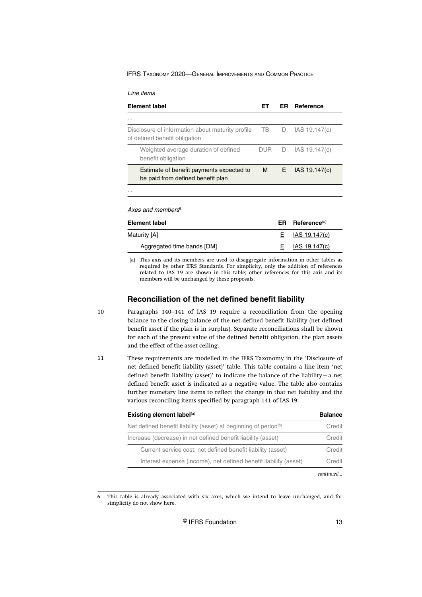<span id="page-13-0"></span>

| Line items |
|------------|
|            |

| <b>Element label</b>                                                              | FТ         | ER. | Reference         |
|-----------------------------------------------------------------------------------|------------|-----|-------------------|
| .                                                                                 |            |     |                   |
| Disclosure of information about maturity profile<br>of defined benefit obligation | TB F       | D   | IAS 19.147(c)     |
| Weighted average duration of defined<br>benefit obligation                        | <b>DUR</b> | D   | IAS 19.147(c)     |
| Estimate of benefit payments expected to<br>be paid from defined benefit plan     | M .        |     | $E$ IAS 19.147(c) |
| 1.1.1                                                                             |            |     |                   |

Axes and members $6$ 

| ER. | Reference(a)      |
|-----|-------------------|
|     | $E$ IAS 19.147(c) |
|     | IAS 19.147(c)     |
|     |                   |

(a) This axis and its members are used to disaggregate information in other tables as required by other IFRS Standards. For simplicity, only the addition of references related to IAS 19 are shown in this table; other references for this axis and its members will be unchanged by these proposals.

# **Reconciliation of the net defined benefit liability**

- Paragraphs 140–141 of IAS 19 require a reconciliation from the opening balance to the closing balance of the net defined benefit liability (net defined benefit asset if the plan is in surplus). Separate reconciliations shall be shown for each of the present value of the defined benefit obligation, the plan assets and the effect of the asset ceiling. 10
- These requirements are modelled in the IFRS Taxonomy in the 'Disclosure of net defined benefit liability (asset)' table. This table contains a line item 'net defined benefit liability (asset)' to indicate the balance of the liability—a net defined benefit asset is indicated as a negative value. The table also contains further monetary line items to reflect the change in that net liability and the various reconciling items specified by paragraph 141 of IAS 19: 11

| Existing element label <sup>(a)</sup>                                       | <b>Balance</b> |
|-----------------------------------------------------------------------------|----------------|
| Net defined benefit liability (asset) at beginning of period <sup>(b)</sup> | Credit         |
| Increase (decrease) in net defined benefit liability (asset)                | Credit         |
| Current service cost, net defined benefit liability (asset)                 | Credit         |
| Interest expense (income), net defined benefit liability (asset)            | Credit         |
|                                                                             |                |

<sup>6</sup> This table is already associated with six axes, which we intend to leave unchanged, and for simplicity do not show here.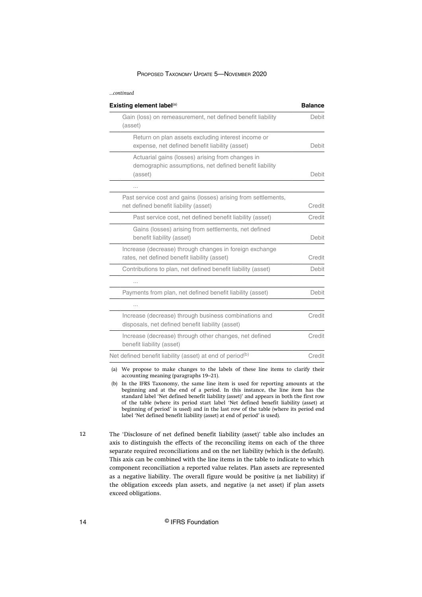#### *...continued*

| Gain (loss) on remeasurement, net defined benefit liability<br>(asset)<br>Return on plan assets excluding interest income or<br>expense, net defined benefit liability (asset)<br>Actuarial gains (losses) arising from changes in<br>demographic assumptions, net defined benefit liability<br>(asset)<br>.<br>Past service cost and gains (losses) arising from settlements, |        |
|--------------------------------------------------------------------------------------------------------------------------------------------------------------------------------------------------------------------------------------------------------------------------------------------------------------------------------------------------------------------------------|--------|
|                                                                                                                                                                                                                                                                                                                                                                                | Debit  |
|                                                                                                                                                                                                                                                                                                                                                                                | Debit  |
|                                                                                                                                                                                                                                                                                                                                                                                | Debit  |
|                                                                                                                                                                                                                                                                                                                                                                                |        |
| net defined benefit liability (asset)                                                                                                                                                                                                                                                                                                                                          | Credit |
| Past service cost, net defined benefit liability (asset)                                                                                                                                                                                                                                                                                                                       | Credit |
| Gains (losses) arising from settlements, net defined<br>benefit liability (asset)                                                                                                                                                                                                                                                                                              | Debit  |
| Increase (decrease) through changes in foreign exchange<br>rates, net defined benefit liability (asset)                                                                                                                                                                                                                                                                        | Credit |
| Contributions to plan, net defined benefit liability (asset)                                                                                                                                                                                                                                                                                                                   | Debit  |
|                                                                                                                                                                                                                                                                                                                                                                                |        |
| Payments from plan, net defined benefit liability (asset)                                                                                                                                                                                                                                                                                                                      | Debit  |
| .                                                                                                                                                                                                                                                                                                                                                                              |        |
| Increase (decrease) through business combinations and<br>disposals, net defined benefit liability (asset)                                                                                                                                                                                                                                                                      | Credit |
| Increase (decrease) through other changes, net defined<br>benefit liability (asset)                                                                                                                                                                                                                                                                                            | Credit |
| Net defined benefit liability (asset) at end of period <sup>(b)</sup>                                                                                                                                                                                                                                                                                                          | Credit |

(a) We propose to make changes to the labels of these line items to clarify their accounting meaning (paragraphs 19–21).

(b) In the IFRS Taxonomy, the same line item is used for reporting amounts at the beginning and at the end of a period. In this instance, the line item has the standard label 'Net defined benefit liability (asset)' and appears in both the first row of the table (where its period start label 'Net defined benefit liability (asset) at beginning of period' is used) and in the last row of the table (where its period end label 'Net defined benefit liability (asset) at end of period' is used).

The 'Disclosure of net defined benefit liability (asset)' table also includes an axis to distinguish the effects of the reconciling items on each of the three separate required reconciliations and on the net liability (which is the default). This axis can be combined with the line items in the table to indicate to which component reconciliation a reported value relates. Plan assets are represented as a negative liability. The overall figure would be positive (a net liability) if the obligation exceeds plan assets, and negative (a net asset) if plan assets exceed obligations.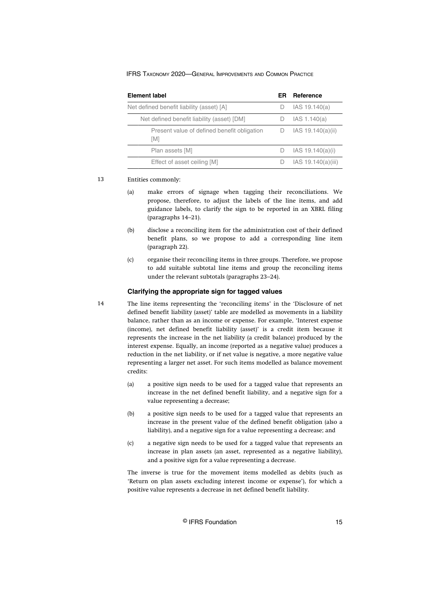| Element label                                      | ER | Reference            |
|----------------------------------------------------|----|----------------------|
| Net defined benefit liability (asset) [A]          | D  | IAS 19.140(a)        |
| Net defined benefit liability (asset) [DM]         |    | IAS 1.140(a)         |
| Present value of defined benefit obligation<br>[M] | D  | IAS 19.140(a)(ii)    |
| Plan assets [M]                                    | D  | IAS 19.140(a)(i)     |
| Effect of asset ceiling [M]                        |    | IAS $19.140(a)(iii)$ |

#### Entities commonly: 13

- (a) make errors of signage when tagging their reconciliations. We propose, therefore, to adjust the labels of the line items, and add guidance labels, to clarify the sign to be reported in an XBRL filing (paragraphs 14–21).
- (b) disclose a reconciling item for the administration cost of their defined benefit plans, so we propose to add a corresponding line item (paragraph 22).
- (c) organise their reconciling items in three groups. Therefore, we propose to add suitable subtotal line items and group the reconciling items under the relevant subtotals (paragraphs 23–24).

#### **Clarifying the appropriate sign for tagged values**

- The line items representing the 'reconciling items' in the 'Disclosure of net defined benefit liability (asset)' table are modelled as movements in a liability balance, rather than as an income or expense. For example, 'Interest expense (income), net defined benefit liability (asset)' is a credit item because it represents the increase in the net liability (a credit balance) produced by the interest expense. Equally, an income (reported as a negative value) produces a reduction in the net liability, or if net value is negative, a more negative value representing a larger net asset. For such items modelled as balance movement credits:
- (a) a positive sign needs to be used for a tagged value that represents an increase in the net defined benefit liability, and a negative sign for a value representing a decrease;
- (b) a positive sign needs to be used for a tagged value that represents an increase in the present value of the defined benefit obligation (also a liability), and a negative sign for a value representing a decrease; and
- (c) a negative sign needs to be used for a tagged value that represents an increase in plan assets (an asset, represented as a negative liability), and a positive sign for a value representing a decrease.

The inverse is true for the movement items modelled as debits (such as 'Return on plan assets excluding interest income or expense'), for which a positive value represents a decrease in net defined benefit liability.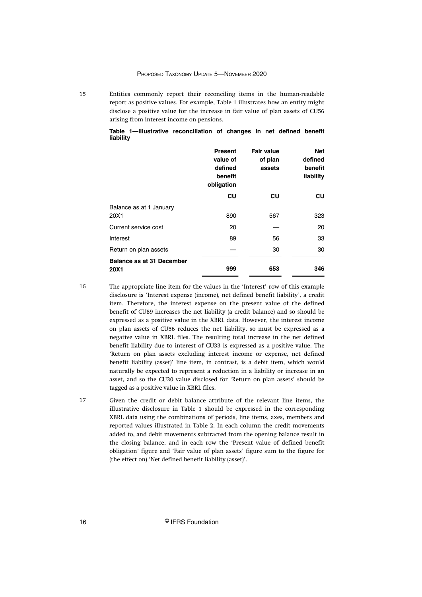Entities commonly report their reconciling items in the human-readable report as positive values. For example, Table 1 illustrates how an entity might disclose a positive value for the increase in fair value of plan assets of CU56 arising from interest income on pensions.

|           | Table 1—Illustrative reconciliation of changes in net defined benefit |  |  |  |
|-----------|-----------------------------------------------------------------------|--|--|--|
| liability |                                                                       |  |  |  |

|                                          | <b>Present</b><br>value of<br>defined<br>benefit<br>obligation | <b>Fair value</b><br>of plan<br>assets | <b>Net</b><br>defined<br>benefit<br>liability |
|------------------------------------------|----------------------------------------------------------------|----------------------------------------|-----------------------------------------------|
|                                          | CU                                                             | CU                                     | CU                                            |
| Balance as at 1 January<br>20X1          | 890                                                            | 567                                    | 323                                           |
| Current service cost                     | 20                                                             |                                        | 20                                            |
| Interest                                 | 89                                                             | 56                                     | 33                                            |
| Return on plan assets                    |                                                                | 30                                     | 30                                            |
| <b>Balance as at 31 December</b><br>20X1 | 999                                                            | 653                                    | 346                                           |

16

The appropriate line item for the values in the 'Interest' row of this example disclosure is 'Interest expense (income), net defined benefit liability', a credit item. Therefore, the interest expense on the present value of the defined benefit of CU89 increases the net liability (a credit balance) and so should be expressed as a positive value in the XBRL data. However, the interest income on plan assets of CU56 reduces the net liability, so must be expressed as a negative value in XBRL files. The resulting total increase in the net defined benefit liability due to interest of CU33 is expressed as a positive value. The 'Return on plan assets excluding interest income or expense, net defined benefit liability (asset)' line item, in contrast, is a debit item, which would naturally be expected to represent a reduction in a liability or increase in an asset, and so the CU30 value disclosed for 'Return on plan assets' should be tagged as a positive value in XBRL files.

Given the credit or debit balance attribute of the relevant line items, the illustrative disclosure in Table 1 should be expressed in the corresponding XBRL data using the combinations of periods, line items, axes, members and reported values illustrated in Table 2. In each column the credit movements added to, and debit movements subtracted from the opening balance result in the closing balance, and in each row the 'Present value of defined benefit obligation' figure and 'Fair value of plan assets' figure sum to the figure for (the effect on) 'Net defined benefit liability (asset)'. 17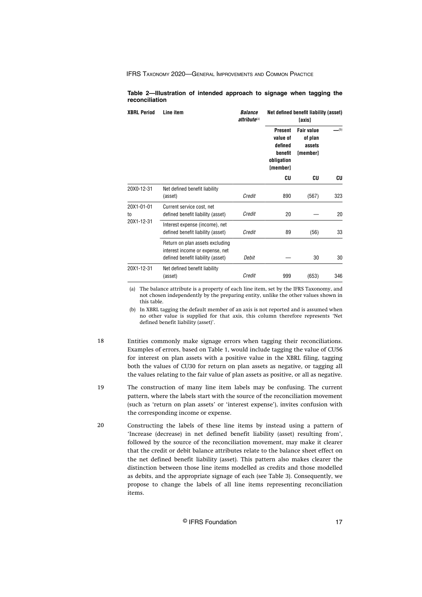#### **Table 2—Illustration of intended approach to signage when tagging the reconciliation**

| <b>XBRL Period</b> | Line item                                                                                               | <b>Balance</b><br>attribute <sup>(a)</sup> | Net defined benefit liability (asset)<br>[axis]                                   |                                                    |     |  |  |  |
|--------------------|---------------------------------------------------------------------------------------------------------|--------------------------------------------|-----------------------------------------------------------------------------------|----------------------------------------------------|-----|--|--|--|
|                    |                                                                                                         |                                            | <b>Present</b><br>value of<br>defined<br>benefit<br>obligation<br><b>Imember1</b> | <b>Fair value</b><br>of plan<br>assets<br>[member] | (b) |  |  |  |
|                    |                                                                                                         |                                            | CU                                                                                | CU                                                 | CU  |  |  |  |
| 20X0-12-31         | Net defined benefit liability<br>(asset)                                                                | Credit                                     | 890                                                                               | (567)                                              | 323 |  |  |  |
| 20X1-01-01<br>to   | Current service cost, net<br>defined benefit liability (asset)                                          | Credit                                     | 20                                                                                |                                                    | 20  |  |  |  |
| 20X1-12-31         | Interest expense (income), net<br>defined benefit liability (asset)                                     | Credit                                     | 89                                                                                | (56)                                               | 33  |  |  |  |
|                    | Return on plan assets excluding<br>interest income or expense, net<br>defined benefit liability (asset) | Debit                                      |                                                                                   | 30                                                 | 30  |  |  |  |
| 20X1-12-31         | Net defined benefit liability<br>(asset)                                                                | Credit                                     | 999                                                                               | (653)                                              | 346 |  |  |  |

(a) The balance attribute is a property of each line item, set by the IFRS Taxonomy, and not chosen independently by the preparing entity, unlike the other values shown in this table.

(b) In XBRL tagging the default member of an axis is not reported and is assumed when no other value is supplied for that axis, this column therefore represents 'Net defined benefit liability (asset)'.

Entities commonly make signage errors when tagging their reconciliations. Examples of errors, based on Table 1, would include tagging the value of CU56 for interest on plan assets with a positive value in the XBRL filing, tagging both the values of CU30 for return on plan assets as negative, or tagging all the values relating to the fair value of plan assets as positive, or all as negative. 18

- The construction of many line item labels may be confusing. The current pattern, where the labels start with the source of the reconciliation movement (such as 'return on plan assets' or 'interest expense'), invites confusion with the corresponding income or expense. 19
- Constructing the labels of these line items by instead using a pattern of 'Increase (decrease) in net defined benefit liability (asset) resulting from', followed by the source of the reconciliation movement, may make it clearer that the credit or debit balance attributes relate to the balance sheet effect on the net defined benefit liability (asset). This pattern also makes clearer the distinction between those line items modelled as credits and those modelled as debits, and the appropriate signage of each (see Table 3). Consequently, we propose to change the labels of all line items representing reconciliation items. 20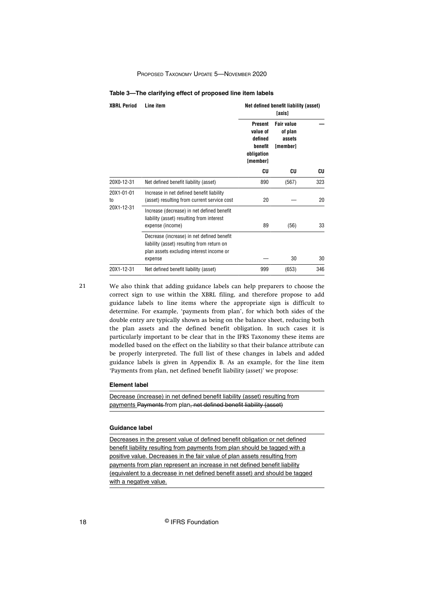#### **Table 3—The clarifying effect of proposed line item labels**

| <b>XBRL Period</b> | Line item                                                                                                                                       |                                                                            | Net defined benefit liability (asset)<br>[axis]    |     |  |  |
|--------------------|-------------------------------------------------------------------------------------------------------------------------------------------------|----------------------------------------------------------------------------|----------------------------------------------------|-----|--|--|
|                    |                                                                                                                                                 | <b>Present</b><br>value of<br>defined<br>benefit<br>obligation<br>[member] | <b>Fair value</b><br>of plan<br>assets<br>[member] |     |  |  |
|                    |                                                                                                                                                 | CU                                                                         | CU                                                 | CU  |  |  |
| 20X0-12-31         | Net defined benefit liability (asset)                                                                                                           | 890                                                                        | (567)                                              | 323 |  |  |
| 20X1-01-01<br>to   | Increase in net defined benefit liability<br>(asset) resulting from current service cost                                                        | 20                                                                         |                                                    | 20  |  |  |
| 20X1-12-31         | Increase (decrease) in net defined benefit<br>liability (asset) resulting from interest<br>expense (income)                                     | 89                                                                         | (56)                                               | 33  |  |  |
|                    | Decrease (increase) in net defined benefit<br>liability (asset) resulting from return on<br>plan assets excluding interest income or<br>expense |                                                                            | 30                                                 | 30  |  |  |
| 20X1-12-31         | Net defined benefit liability (asset)                                                                                                           | 999                                                                        | (653)                                              | 346 |  |  |

21

We also think that adding guidance labels can help preparers to choose the correct sign to use within the XBRL filing, and therefore propose to add guidance labels to line items where the appropriate sign is difficult to determine. For example, 'payments from plan', for which both sides of the double entry are typically shown as being on the balance sheet, reducing both the plan assets and the defined benefit obligation. In such cases it is particularly important to be clear that in the IFRS Taxonomy these items are modelled based on the effect on the liability so that their balance attribute can be properly interpreted. The full list of these changes in labels and added guidance labels is given in Appendix B. As an example, for the line item 'Payments from plan, net defined benefit liability (asset)' we propose:

#### **Element label**

Decrease (increase) in net defined benefit liability (asset) resulting from payments Payments from plan, net defined benefit liability (asset)

#### **Guidance label**

Decreases in the present value of defined benefit obligation or net defined benefit liability resulting from payments from plan should be tagged with a positive value. Decreases in the fair value of plan assets resulting from payments from plan represent an increase in net defined benefit liability (equivalent to a decrease in net defined benefit asset) and should be tagged with a negative value.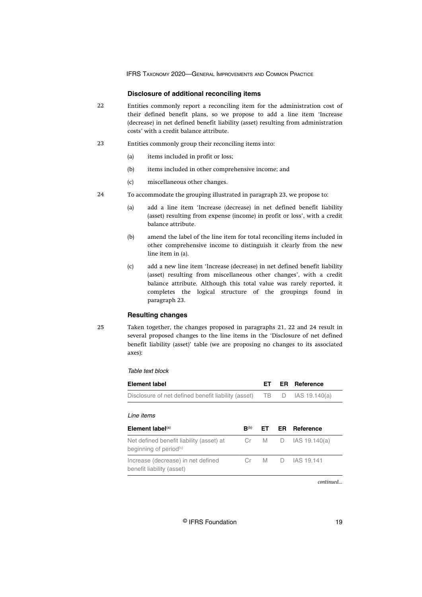#### **Disclosure of additional reconciling items**

- Entities commonly report a reconciling item for the administration cost of their defined benefit plans, so we propose to add a line item 'Increase (decrease) in net defined benefit liability (asset) resulting from administration costs' with a credit balance attribute. 22
- Entities commonly group their reconciling items into: 23
	- (a) items included in profit or loss;
	- (b) items included in other comprehensive income; and
	- (c) miscellaneous other changes.
- To accommodate the grouping illustrated in paragraph 23, we propose to:  $24$ 
	- (a) add a line item 'Increase (decrease) in net defined benefit liability (asset) resulting from expense (income) in profit or loss', with a credit balance attribute.
	- (b) amend the label of the line item for total reconciling items included in other comprehensive income to distinguish it clearly from the new line item in (a).
	- (c) add a new line item 'Increase (decrease) in net defined benefit liability (asset) resulting from miscellaneous other changes', with a credit balance attribute. Although this total value was rarely reported, it completes the logical structure of the groupings found in paragraph 23.

#### **Resulting changes**

25

Taken together, the changes proposed in paragraphs 21, 22 and 24 result in several proposed changes to the line items in the 'Disclosure of net defined benefit liability (asset)' table (we are proposing no changes to its associated axes):

#### Table text block

| <b>Element label</b>                                                           |                    | FТ  | ER I | Reference        |
|--------------------------------------------------------------------------------|--------------------|-----|------|------------------|
| Disclosure of net defined benefit liability (asset)                            |                    | TB  | D    | IAS 19.140(a)    |
| I ine items<br>Element label $(a)$                                             | $\mathbf{B}^{(b)}$ | FT. | ER.  | <b>Reference</b> |
| Net defined benefit liability (asset) at<br>beginning of period <sup>(c)</sup> | Cr                 | M   | D    | IAS 19.140(a)    |
| Increase (decrease) in net defined<br>benefit liability (asset)                | Сr                 | M   | D.   | IAS 19.141       |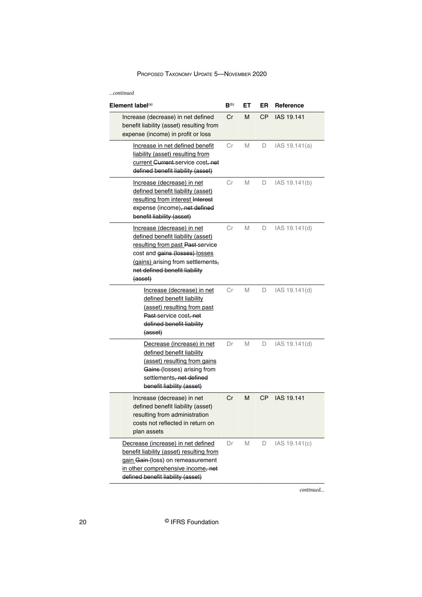| $$ continued                                                                                                                                                                                                           |           |    |           |                   |
|------------------------------------------------------------------------------------------------------------------------------------------------------------------------------------------------------------------------|-----------|----|-----------|-------------------|
| Element label <sup>(a)</sup>                                                                                                                                                                                           | $B^{(b)}$ | EТ | ER        | Reference         |
| Increase (decrease) in net defined<br>benefit liability (asset) resulting from<br>expense (income) in profit or loss                                                                                                   | Cr        | М  | <b>CP</b> | IAS 19.141        |
| Increase in net defined benefit<br>liability (asset) resulting from<br>current Gurrent-service cost, net<br>defined benefit liability (asset)                                                                          | Сr        | M  | D         | IAS 19.141(a)     |
| Increase (decrease) in net<br>defined benefit liability (asset)<br>resulting from interest Interest<br>expense (income), net defined<br>benefit liability (asset)                                                      | Сr        | M  | D         | IAS 19.141(b)     |
| Increase (decrease) in net<br>defined benefit liability (asset)<br>resulting from past Past service<br>cost and gains (losses) losses<br>(gains) arising from settlements,<br>net defined benefit liability<br>(asset) | Сr        | M  | D         | IAS 19.141(d)     |
| Increase (decrease) in net<br>defined benefit liability<br>(asset) resulting from past<br>Past-service cost, net<br>defined benefit liability<br>(asset)                                                               | Сr        | M  | D         | IAS 19.141(d)     |
| Decrease (increase) in net<br>defined benefit liability<br>(asset) resulting from gains<br>Gains-(losses) arising from<br>settlements, net defined<br>benefit liability (asset)                                        | Dr        | М  | D         | IAS 19.141(d)     |
| Increase (decrease) in net<br>defined benefit liability (asset)<br>resulting from administration<br>costs not reflected in return on<br>plan assets                                                                    | Cr        | М  | <b>CP</b> | <b>IAS 19.141</b> |
| Decrease (increase) in net defined<br>benefit liability (asset) resulting from<br>gain Gain (loss) on remeasurement<br>in other comprehensive income, net<br>defined benefit liability (asset)                         | Dr        | М  | D         | IAS 19.141(c)     |

*continued...*

20 © IFRS Foundation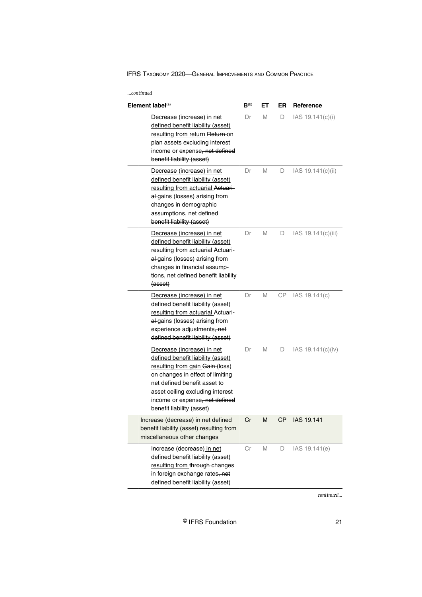| Element label $(a)$                                                                                                                                                                                                                                                       | $B^{(b)}$ | EТ | ER        | Reference          |
|---------------------------------------------------------------------------------------------------------------------------------------------------------------------------------------------------------------------------------------------------------------------------|-----------|----|-----------|--------------------|
| Decrease (increase) in net<br>defined benefit liability (asset)<br>resulting from return Return-on<br>plan assets excluding interest<br>income or expense, net defined<br>benefit liability (asset)                                                                       | Dr        | M  | D         | IAS 19.141(c)(i)   |
| Decrease (increase) in net<br>defined benefit liability (asset)<br>resulting from actuarial Actuari-<br>al-gains (losses) arising from<br>changes in demographic<br>assumptions, net defined<br>benefit liability (asset)                                                 | Dr        | M  | D         | IAS 19.141(c)(ii)  |
| Decrease (increase) in net<br>defined benefit liability (asset)<br>resulting from actuarial Actuari-<br>al-gains (losses) arising from<br>changes in financial assump-<br>tions, net defined benefit liability<br>(asset)                                                 | Dr        | M  | D         | IAS 19.141(c)(iii) |
| Decrease (increase) in net<br>defined benefit liability (asset)<br>resulting from actuarial Actuari-<br>al-gains (losses) arising from<br>experience adjustments, net<br>defined benefit liability (asset)                                                                | Dr        | М  | СP        | IAS 19.141(c)      |
| Decrease (increase) in net<br>defined benefit liability (asset)<br>resulting from gain Gain (loss)<br>on changes in effect of limiting<br>net defined benefit asset to<br>asset ceiling excluding interest<br>income or expense, net defined<br>benefit liability (asset) | Dr        | M  | D         | IAS 19.141(c)(iv)  |
| Increase (decrease) in net defined<br>benefit liability (asset) resulting from<br>miscellaneous other changes                                                                                                                                                             | Cr        | M  | <b>CP</b> | IAS 19.141         |
| Increase (decrease) in net<br>defined benefit liability (asset)<br>resulting from through changes<br>in foreign exchange rates, net<br>defined benefit liability (asset)                                                                                                  | Сr        | M  | D         | IAS 19.141(e)      |

*continued...*

© IFRS Foundation 21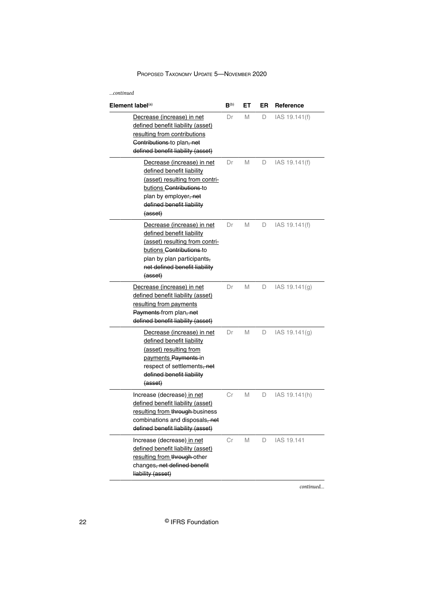| continued                                                                                                                                                                                           |                  |    |    |               |  |  |
|-----------------------------------------------------------------------------------------------------------------------------------------------------------------------------------------------------|------------------|----|----|---------------|--|--|
| Element label $(a)$                                                                                                                                                                                 | B <sup>(b)</sup> | EТ | ER | Reference     |  |  |
| Decrease (increase) in net<br>defined benefit liability (asset)<br>resulting from contributions<br>Contributions to plan, net<br>defined benefit liability (asset)                                  | Dr               | М  | D  | IAS 19.141(f) |  |  |
| Decrease (increase) in net<br>defined benefit liability<br>(asset) resulting from contri-<br>butions Contributions to<br>plan by employer, net<br>defined benefit liability<br>(asset)              | Dr               | М  | D  | IAS 19.141(f) |  |  |
| Decrease (increase) in net<br>defined benefit liability<br>(asset) resulting from contri-<br>butions Contributions-to<br>plan by plan participants,<br>net defined benefit liability<br>${(asset)}$ | Dr               | М  | D  | IAS 19.141(f) |  |  |
| Decrease (increase) in net<br>defined benefit liability (asset)<br>resulting from payments<br>Payments-from plan, net<br>defined benefit liability (asset)                                          | Dr               | M  | D  | IAS 19.141(g) |  |  |
| Decrease (increase) in net<br>defined benefit liability<br>(asset) resulting from<br>payments Payments-in<br>respect of settlements, net<br>defined benefit liability<br><del>(asset)</del>         | Dr               | М  | D  | IAS 19.141(g) |  |  |
| Increase (decrease) in net<br>defined benefit liability (asset)<br>resulting from through business<br>combinations and disposals, net<br>defined benefit liability (asset)                          | Сr               | М  | D  | IAS 19.141(h) |  |  |
| Increase (decrease) in net<br>defined benefit liability (asset)<br>resulting from through other<br>changes, net defined benefit<br>liability (asset)                                                | Сr               | М  | D  | IAS 19.141    |  |  |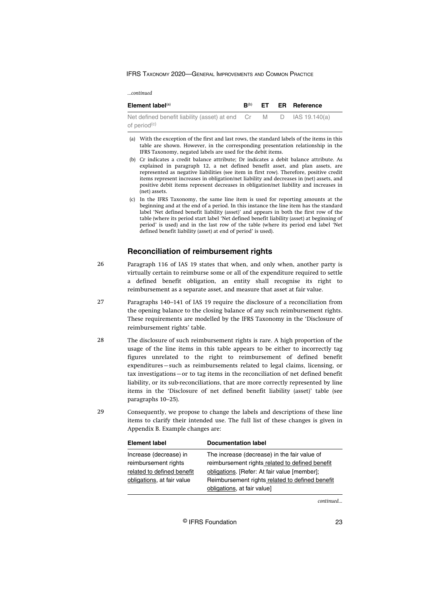<span id="page-23-0"></span>

| Element label <sup>(a)</sup>                                      | $\mathbf{R}^{(b)}$ |  | ET ER Reference |
|-------------------------------------------------------------------|--------------------|--|-----------------|
| Net defined benefit liability (asset) at end Cr M D IAS 19.140(a) |                    |  |                 |
| of period <sup>(c)</sup>                                          |                    |  |                 |

- (a) With the exception of the first and last rows, the standard labels of the items in this table are shown. However, in the corresponding presentation relationship in the IFRS Taxonomy, negated labels are used for the debit items.
- (b) Cr indicates a credit balance attribute; Dr indicates a debit balance attribute. As explained in paragraph 12, a net defined benefit asset, and plan assets, are represented as negative liabilities (see item in first row). Therefore, positive credit items represent increases in obligation/net liability and decreases in (net) assets, and positive debit items represent decreases in obligation/net liability and increases in (net) assets.
- (c) In the IFRS Taxonomy, the same line item is used for reporting amounts at the beginning and at the end of a period. In this instance the line item has the standard label 'Net defined benefit liability (asset)' and appears in both the first row of the table (where its period start label 'Net defined benefit liability (asset) at beginning of period' is used) and in the last row of the table (where its period end label 'Net defined benefit liability (asset) at end of period' is used).

# **Reconciliation of reimbursement rights**

- Paragraph 116 of IAS 19 states that when, and only when, another party is virtually certain to reimburse some or all of the expenditure required to settle a defined benefit obligation, an entity shall recognise its right to reimbursement as a separate asset, and measure that asset at fair value. 26
- Paragraphs 140–141 of IAS 19 require the disclosure of a reconciliation from the opening balance to the closing balance of any such reimbursement rights. These requirements are modelled by the IFRS Taxonomy in the 'Disclosure of reimbursement rights' table. 27
- The disclosure of such reimbursement rights is rare. A high proportion of the usage of the line items in this table appears to be either to incorrectly tag figures unrelated to the right to reimbursement of defined benefit expenditures—such as reimbursements related to legal claims, licensing, or tax investigations—or to tag items in the reconciliation of net defined benefit liability, or its sub-reconciliations, that are more correctly represented by line items in the 'Disclosure of net defined benefit liability (asset)' table (see paragraphs 10–25). 28
- Consequently, we propose to change the labels and descriptions of these line items to clarify their intended use. The full list of these changes is given in Appendix B. Example changes are:  $29$

| <b>Element label</b>       | <b>Documentation label</b>                      |
|----------------------------|-------------------------------------------------|
| Increase (decrease) in     | The increase (decrease) in the fair value of    |
| reimbursement rights       | reimbursement rights related to defined benefit |
| related to defined benefit | obligations. [Refer: At fair value [member];    |
| obligations, at fair value | Reimbursement rights related to defined benefit |
|                            | obligations, at fair value]                     |

*continued...*

© IFRS Foundation 23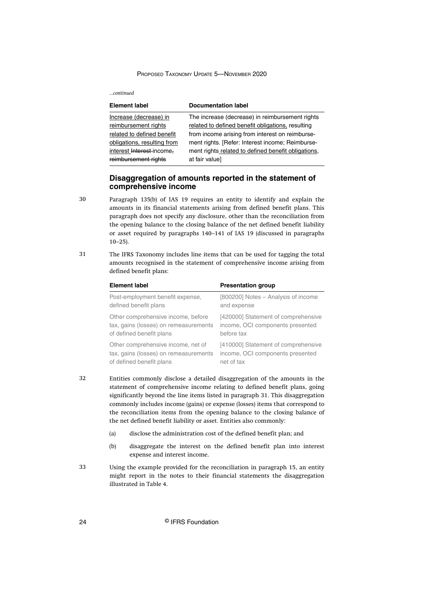#### <span id="page-24-0"></span>*...continued*

| <b>Element label</b>        | <b>Documentation label</b>                          |
|-----------------------------|-----------------------------------------------------|
| Increase (decrease) in      | The increase (decrease) in reimbursement rights     |
| reimbursement rights        | related to defined benefit obligations, resulting   |
| related to defined benefit  | from income arising from interest on reimburse-     |
| obligations, resulting from | ment rights. [Refer: Interest income; Reimburse-    |
| interest Interest-income.   | ment rights related to defined benefit obligations, |
| reimbursement rights        | at fair value]                                      |

# **Disaggregation of amounts reported in the statement of comprehensive income**

- Paragraph 135(b) of IAS 19 requires an entity to identify and explain the amounts in its financial statements arising from defined benefit plans. This paragraph does not specify any disclosure, other than the reconciliation from the opening balance to the closing balance of the net defined benefit liability or asset required by paragraphs 140–141 of IAS 19 (discussed in paragraphs  $10-25$ ).
- The IFRS Taxonomy includes line items that can be used for tagging the total amounts recognised in the statement of comprehensive income arising from defined benefit plans: 31

| <b>Element label</b>                  | <b>Presentation group</b>           |
|---------------------------------------|-------------------------------------|
| Post-employment benefit expense,      | [800200] Notes - Analysis of income |
| defined benefit plans                 | and expense                         |
| Other comprehensive income, before    | [420000] Statement of comprehensive |
| tax, gains (losses) on remeasurements | income, OCI components presented    |
| of defined benefit plans              | before tax                          |
| Other comprehensive income, net of    | [410000] Statement of comprehensive |
| tax, gains (losses) on remeasurements | income, OCI components presented    |
| of defined benefit plans              | net of tax                          |

32

30

Entities commonly disclose a detailed disaggregation of the amounts in the statement of comprehensive income relating to defined benefit plans, going significantly beyond the line items listed in paragraph 31. This disaggregation commonly includes income (gains) or expense (losses) items that correspond to the reconciliation items from the opening balance to the closing balance of the net defined benefit liability or asset. Entities also commonly:

- (a) disclose the administration cost of the defined benefit plan; and
- (b) disaggregate the interest on the defined benefit plan into interest expense and interest income.
- Using the example provided for the reconciliation in paragraph 15, an entity might report in the notes to their financial statements the disaggregation illustrated in Table 4. 33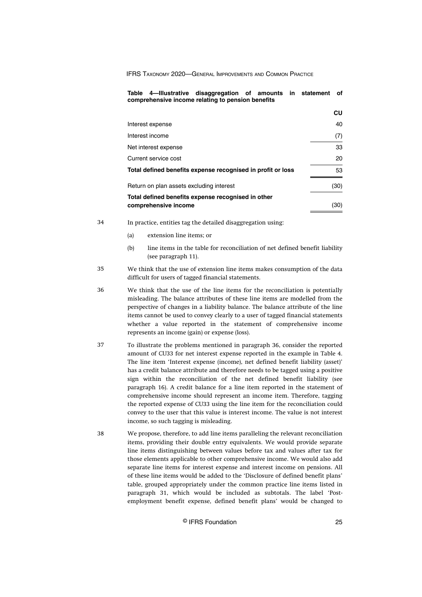| Table 4—Illustrative disaggregation of amounts in statement<br>comprehensive income relating to pension benefits | оf        |
|------------------------------------------------------------------------------------------------------------------|-----------|
|                                                                                                                  | <b>CU</b> |
| Interest expense                                                                                                 | 40        |
| Interest income                                                                                                  | (7)       |
| Net interest expense                                                                                             | 33        |
| Current service cost                                                                                             | 20        |
| Total defined benefits expense recognised in profit or loss                                                      | 53        |
| Return on plan assets excluding interest                                                                         | (30)      |
| Total defined benefits expense recognised in other<br>comprehensive income                                       | (30)      |

In practice, entities tag the detailed disaggregation using:

(a) extension line items; or

- (b) line items in the table for reconciliation of net defined benefit liability (see paragraph 11).
- We think that the use of extension line items makes consumption of the data difficult for users of tagged financial statements. 35
- We think that the use of the line items for the reconciliation is potentially misleading. The balance attributes of these line items are modelled from the perspective of changes in a liability balance. The balance attribute of the line items cannot be used to convey clearly to a user of tagged financial statements whether a value reported in the statement of comprehensive income represents an income (gain) or expense (loss). 36
- To illustrate the problems mentioned in paragraph 36, consider the reported amount of CU33 for net interest expense reported in the example in Table 4. The line item 'Interest expense (income), net defined benefit liability (asset)' has a credit balance attribute and therefore needs to be tagged using a positive sign within the reconciliation of the net defined benefit liability (see paragraph 16). A credit balance for a line item reported in the statement of comprehensive income should represent an income item. Therefore, tagging the reported expense of CU33 using the line item for the reconciliation could convey to the user that this value is interest income. The value is not interest income, so such tagging is misleading. 37
- We propose, therefore, to add line items paralleling the relevant reconciliation items, providing their double entry equivalents. We would provide separate line items distinguishing between values before tax and values after tax for those elements applicable to other comprehensive income. We would also add separate line items for interest expense and interest income on pensions. All of these line items would be added to the 'Disclosure of defined benefit plans' table, grouped appropriately under the common practice line items listed in paragraph 31, which would be included as subtotals. The label 'Postemployment benefit expense, defined benefit plans' would be changed to 38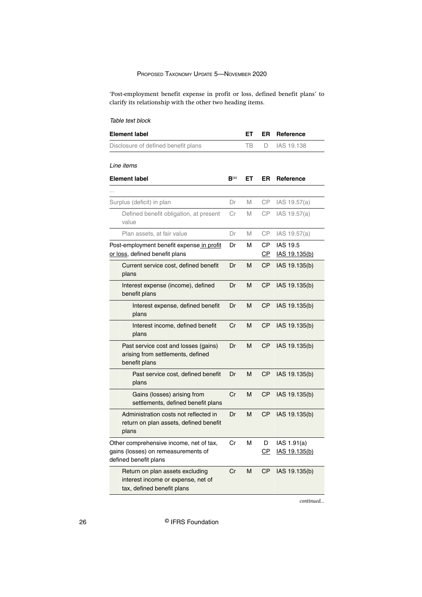'Post-employment benefit expense in profit or loss, defined benefit plans' to clarify its relationship with the other two heading items.

# Table text block

| <b>Element label</b>                                                                                    |                    | ET | ER                     | Reference                        |
|---------------------------------------------------------------------------------------------------------|--------------------|----|------------------------|----------------------------------|
| Disclosure of defined benefit plans                                                                     |                    | TB | D.                     | IAS 19.138                       |
| Line items                                                                                              |                    |    |                        |                                  |
|                                                                                                         |                    |    |                        |                                  |
| <b>Element label</b>                                                                                    | $B$ <sup>(a)</sup> | EТ | ER                     | Reference                        |
|                                                                                                         |                    |    |                        |                                  |
| Surplus (deficit) in plan                                                                               | Dr                 | M  | CP.                    | IAS 19.57(a)                     |
| Defined benefit obligation, at present<br>value                                                         | Cr                 | M  | CP                     | IAS 19.57(a)                     |
| Plan assets, at fair value                                                                              | Dr                 | M  | <b>CP</b>              | IAS 19.57(a)                     |
| Post-employment benefit expense in profit<br>or loss, defined benefit plans                             | Dr                 | м  | CP.<br>$\overline{CP}$ | <b>IAS 19.5</b><br>IAS 19.135(b) |
| Current service cost, defined benefit<br>plans                                                          | Dr                 | м  | СP                     | IAS 19.135(b)                    |
| Interest expense (income), defined<br>benefit plans                                                     | Dr                 | м  | <b>CP</b>              | IAS 19.135(b)                    |
| Interest expense, defined benefit<br>plans                                                              | Dr                 | М  | <b>CP</b>              | IAS 19.135(b)                    |
| Interest income, defined benefit<br>plans                                                               | Cr                 | M  | <b>CP</b>              | IAS 19.135(b)                    |
| Past service cost and losses (gains)<br>arising from settlements, defined<br>benefit plans              | Dr                 | М  | <b>CP</b>              | IAS 19.135(b)                    |
| Past service cost, defined benefit<br>plans                                                             | Dr                 | М  | <b>CP</b>              | IAS 19.135(b)                    |
| Gains (losses) arising from<br>settlements, defined benefit plans                                       | Cr                 | М  | <b>CP</b>              | IAS 19.135(b)                    |
| Administration costs not reflected in<br>return on plan assets, defined benefit<br>plans                | Dr                 | М  | СP                     | IAS 19.135(b)                    |
| Other comprehensive income, net of tax,<br>gains (losses) on remeasurements of<br>defined benefit plans | Cr                 | М  | D<br>CP.               | IAS 1.91(a)<br>IAS 19.135(b)     |
| Return on plan assets excluding<br>interest income or expense, net of<br>tax, defined benefit plans     | Cr                 | м  | <b>CP</b>              | IAS 19.135(b)                    |

*continued...*

26 © IFRS Foundation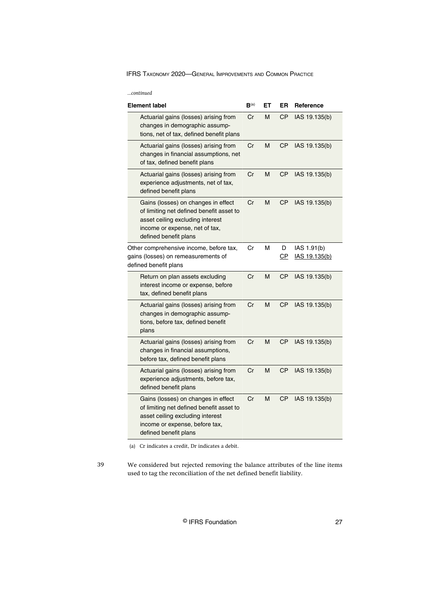| continued |  |
|-----------|--|
|           |  |

| <b>Element label</b>                                                                                                                                                           | $B^{(a)}$ | ET | ER        | Reference                    |
|--------------------------------------------------------------------------------------------------------------------------------------------------------------------------------|-----------|----|-----------|------------------------------|
| Actuarial gains (losses) arising from<br>changes in demographic assump-<br>tions, net of tax, defined benefit plans                                                            | Cr        | М  | СP        | IAS 19.135(b)                |
| Actuarial gains (losses) arising from<br>changes in financial assumptions, net<br>of tax, defined benefit plans                                                                | Cr        | M  | СP        | IAS 19.135(b)                |
| Actuarial gains (losses) arising from<br>experience adjustments, net of tax,<br>defined benefit plans                                                                          | Cr        | М  | СP        | IAS 19.135(b)                |
| Gains (losses) on changes in effect<br>of limiting net defined benefit asset to<br>asset ceiling excluding interest<br>income or expense, net of tax,<br>defined benefit plans | Cr        | М  | СP        | IAS 19.135(b)                |
| Other comprehensive income, before tax,<br>gains (losses) on remeasurements of<br>defined benefit plans                                                                        | Cr        | М  | D<br>СP   | IAS 1.91(b)<br>IAS 19.135(b) |
| Return on plan assets excluding<br>interest income or expense, before<br>tax, defined benefit plans                                                                            | Cr        | М  | СP        | IAS 19.135(b)                |
| Actuarial gains (losses) arising from<br>changes in demographic assump-<br>tions, before tax, defined benefit<br>plans                                                         | Cr        | М  | <b>CP</b> | IAS 19.135(b)                |
| Actuarial gains (losses) arising from<br>changes in financial assumptions,<br>before tax, defined benefit plans                                                                | Cr        | М  | СP        | IAS 19.135(b)                |
| Actuarial gains (losses) arising from<br>experience adjustments, before tax,<br>defined benefit plans                                                                          | Cr        | М  | СP        | IAS 19.135(b)                |
| Gains (losses) on changes in effect<br>of limiting net defined benefit asset to<br>asset ceiling excluding interest<br>income or expense, before tax,<br>defined benefit plans | Cr        | М  | СP        | IAS 19.135(b)                |

(a) Cr indicates a credit, Dr indicates a debit.

39

We considered but rejected removing the balance attributes of the line items used to tag the reconciliation of the net defined benefit liability.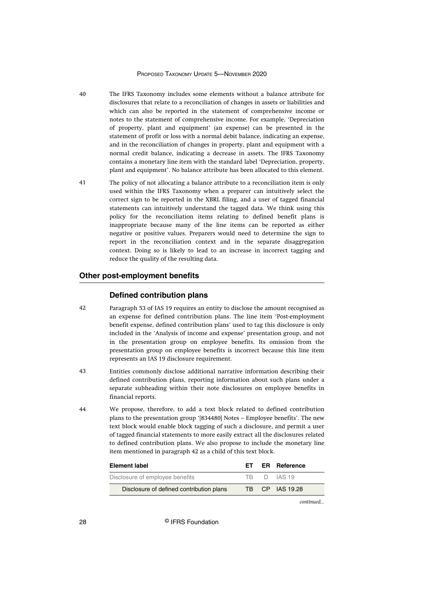- <span id="page-28-0"></span>The IFRS Taxonomy includes some elements without a balance attribute for disclosures that relate to a reconciliation of changes in assets or liabilities and which can also be reported in the statement of comprehensive income or notes to the statement of comprehensive income. For example, 'Depreciation of property, plant and equipment' (an expense) can be presented in the statement of profit or loss with a normal debit balance, indicating an expense, and in the reconciliation of changes in property, plant and equipment with a normal credit balance, indicating a decrease in assets. The IFRS Taxonomy contains a monetary line item with the standard label 'Depreciation, property, plant and equipment'. No balance attribute has been allocated to this element. 40
- The policy of not allocating a balance attribute to a reconciliation item is only used within the IFRS Taxonomy when a preparer can intuitively select the correct sign to be reported in the XBRL filing, and a user of tagged financial statements can intuitively understand the tagged data. We think using this policy for the reconciliation items relating to defined benefit plans is inappropriate because many of the line items can be reported as either negative or positive values. Preparers would need to determine the sign to report in the reconciliation context and in the separate disaggregation context. Doing so is likely to lead to an increase in incorrect tagging and reduce the quality of the resulting data. 41

# **Other post-employment benefits**

#### **Defined contribution plans**

- Paragraph 53 of IAS 19 requires an entity to disclose the amount recognised as an expense for defined contribution plans. The line item 'Post-employment benefit expense, defined contribution plans' used to tag this disclosure is only included in the 'Analysis of income and expense' presentation group, and not in the presentation group on employee benefits. Its omission from the presentation group on employee benefits is incorrect because this line item represents an IAS 19 disclosure requirement. 42
- Entities commonly disclose additional narrative information describing their defined contribution plans, reporting information about such plans under a separate subheading within their note disclosures on employee benefits in financial reports. 43
- We propose, therefore, to add a text block related to defined contribution plans to the presentation group '[834480] Notes – Employee benefits'. The new text block would enable block tagging of such a disclosure, and permit a user of tagged financial statements to more easily extract all the disclosures related to defined contribution plans. We also propose to include the monetary line item mentioned in paragraph 42 as a child of this text block. 44

| <b>Element label</b>                     |  | ET ER Reference |
|------------------------------------------|--|-----------------|
| Disclosure of employee benefits          |  | TB D IAS 19     |
| Disclosure of defined contribution plans |  | TB CP IAS 19.28 |

*continued...*

28 © IFRS Foundation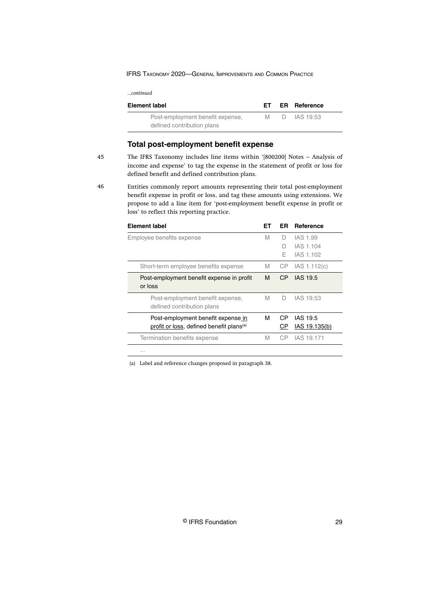<span id="page-29-0"></span>

| Element label                    | FT. | <b>ER</b> Reference |  |
|----------------------------------|-----|---------------------|--|
| Post-employment benefit expense, | M   | D IAS 19.53         |  |
| defined contribution plans       |     |                     |  |

# **Total post-employment benefit expense**

45

The IFRS Taxonomy includes line items within '[800200] Notes – Analysis of income and expense' to tag the expense in the statement of profit or loss for defined benefit and defined contribution plans.

Entities commonly report amounts representing their total post-employment benefit expense in profit or loss, and tag these amounts using extensions. We propose to add a line item for 'post-employment benefit expense in profit or loss' to reflect this reporting practice.

| <b>Element label</b>                                                                       | EТ | ER          | Reference                          |
|--------------------------------------------------------------------------------------------|----|-------------|------------------------------------|
| Employee benefits expense                                                                  | M  | D<br>D<br>F | IAS 1.99<br>IAS 1.104<br>IAS 1.102 |
| Short-term employee benefits expense                                                       | M  | CP          | IAS 1.112(c)                       |
| Post-employment benefit expense in profit<br>or loss                                       | м  | CP.         | <b>IAS 19.5</b>                    |
| Post-employment benefit expense,<br>defined contribution plans                             | M  | D           | IAS 19.53                          |
| Post-employment benefit expense in<br>profit or loss, defined benefit plans <sup>(a)</sup> | М  | СP<br>СP    | IAS 19.5<br>IAS 19.135(b)          |
| Termination benefits expense                                                               | M  | СP          | IAS 19.171                         |
| $\cdots$                                                                                   |    |             |                                    |

(a) Label and reference changes proposed in paragraph 38.

<sup>46</sup>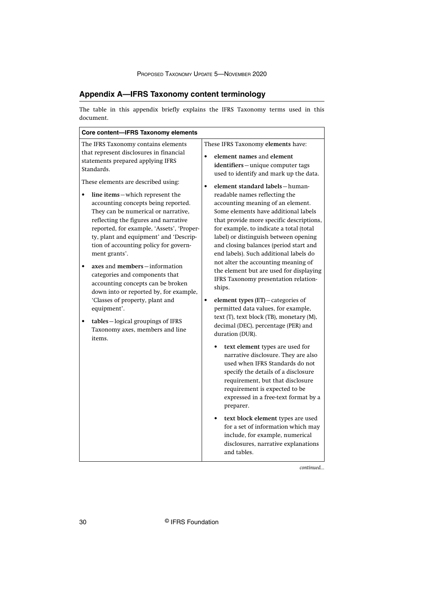# <span id="page-30-0"></span>**Appendix A—IFRS Taxonomy content terminology**

The table in this appendix briefly explains the IFRS Taxonomy terms used in this document.

| Core content-IFRS Taxonomy elements                                                                                                                                                                                                                                                                                                                                                                                                                                                                                                                                                                                                                                                                                      |                                                                                                                                                                                                                                                                                                                                                                                                                                                                                                                                                                                                                                                                                                                                                                                                                       |
|--------------------------------------------------------------------------------------------------------------------------------------------------------------------------------------------------------------------------------------------------------------------------------------------------------------------------------------------------------------------------------------------------------------------------------------------------------------------------------------------------------------------------------------------------------------------------------------------------------------------------------------------------------------------------------------------------------------------------|-----------------------------------------------------------------------------------------------------------------------------------------------------------------------------------------------------------------------------------------------------------------------------------------------------------------------------------------------------------------------------------------------------------------------------------------------------------------------------------------------------------------------------------------------------------------------------------------------------------------------------------------------------------------------------------------------------------------------------------------------------------------------------------------------------------------------|
| The IFRS Taxonomy contains elements<br>that represent disclosures in financial<br>statements prepared applying IFRS<br>Standards.<br>These elements are described using:<br>line items-which represent the<br>accounting concepts being reported.<br>They can be numerical or narrative,<br>reflecting the figures and narrative<br>reported, for example, 'Assets', 'Proper-<br>ty, plant and equipment' and 'Descrip-<br>tion of accounting policy for govern-<br>ment grants'.<br>axes and members-information<br>categories and components that<br>accounting concepts can be broken<br>down into or reported by, for example,<br>'Classes of property, plant and<br>equipment'.<br>tables-logical groupings of IFRS | These IFRS Taxonomy elements have:<br>element names and element<br>$\bullet$<br>identifiers-unique computer tags<br>used to identify and mark up the data.<br>element standard labels - human-<br>$\bullet$<br>readable names reflecting the<br>accounting meaning of an element.<br>Some elements have additional labels<br>that provide more specific descriptions,<br>for example, to indicate a total (total<br>label) or distinguish between opening<br>and closing balances (period start and<br>end labels). Such additional labels do<br>not alter the accounting meaning of<br>the element but are used for displaying<br>IFRS Taxonomy presentation relation-<br>ships.<br>element types (ET)-categories of<br>$\bullet$<br>permitted data values, for example,<br>text (T), text block (TB), monetary (M), |
| Taxonomy axes, members and line<br>items.                                                                                                                                                                                                                                                                                                                                                                                                                                                                                                                                                                                                                                                                                | decimal (DEC), percentage (PER) and<br>duration (DUR).<br>text element types are used for<br>narrative disclosure. They are also<br>used when IFRS Standards do not<br>specify the details of a disclosure<br>requirement, but that disclosure<br>requirement is expected to be<br>expressed in a free-text format by a<br>preparer.<br>text block element types are used<br>for a set of information which may<br>include, for example, numerical<br>disclosures, narrative explanations<br>and tables.                                                                                                                                                                                                                                                                                                              |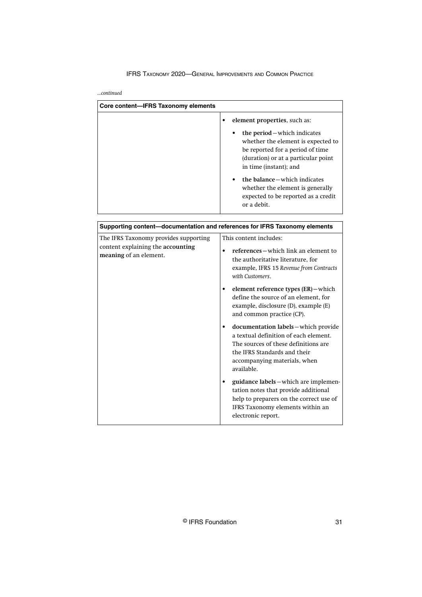*...continued*

| Core content-IFRS Taxonomy elements                                        |                                                                                                                                                                                                                                                                                                                                    |
|----------------------------------------------------------------------------|------------------------------------------------------------------------------------------------------------------------------------------------------------------------------------------------------------------------------------------------------------------------------------------------------------------------------------|
|                                                                            | element properties, such as:<br>the period – which indicates<br>whether the element is expected to<br>be reported for a period of time<br>(duration) or at a particular point<br>in time (instant); and<br>the balance – which indicates<br>whether the element is generally<br>expected to be reported as a credit<br>or a debit. |
| Supporting content-documentation and references for IFRS Taxonomy elements |                                                                                                                                                                                                                                                                                                                                    |

| The IFRS Taxonomy provides supporting<br>content explaining the accounting<br>meaning of an element. | This content includes:<br>references – which link an element to<br>the authoritative literature, for<br>example, IFRS 15 Revenue from Contracts<br>with Customers.                                |
|------------------------------------------------------------------------------------------------------|---------------------------------------------------------------------------------------------------------------------------------------------------------------------------------------------------|
|                                                                                                      | element reference types (ER) – which<br>define the source of an element, for<br>example, disclosure (D), example (E)<br>and common practice (CP).                                                 |
|                                                                                                      | documentation labels-which provide<br>a textual definition of each element.<br>The sources of these definitions are<br>the IFRS Standards and their<br>accompanying materials, when<br>available. |
|                                                                                                      | guidance labels – which are implemen-<br>tation notes that provide additional<br>help to preparers on the correct use of<br>IFRS Taxonomy elements within an<br>electronic report.                |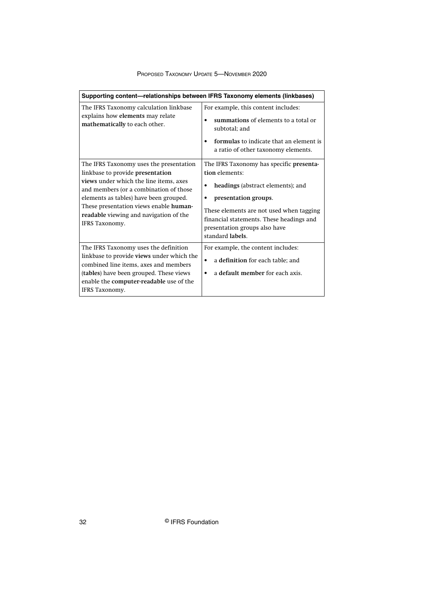| Supporting content—relationships between IFRS Taxonomy elements (linkbases)                                                                                                                                                                                                                                            |                                                                                                                                                                                                                                                                           |
|------------------------------------------------------------------------------------------------------------------------------------------------------------------------------------------------------------------------------------------------------------------------------------------------------------------------|---------------------------------------------------------------------------------------------------------------------------------------------------------------------------------------------------------------------------------------------------------------------------|
| The IFRS Taxonomy calculation linkbase<br>explains how elements may relate<br>mathematically to each other.                                                                                                                                                                                                            | For example, this content includes:<br>summations of elements to a total or<br>subtotal; and<br>formulas to indicate that an element is<br>a ratio of other taxonomy elements.                                                                                            |
| The IFRS Taxonomy uses the presentation<br>linkbase to provide presentation<br>views under which the line items, axes<br>and members (or a combination of those<br>elements as tables) have been grouped.<br>These presentation views enable human-<br>readable viewing and navigation of the<br><b>IFRS</b> Taxonomy. | The IFRS Taxonomy has specific presenta-<br>tion elements:<br>headings (abstract elements); and<br>٠<br>presentation groups.<br>These elements are not used when tagging<br>financial statements. These headings and<br>presentation groups also have<br>standard labels. |
| The IFRS Taxonomy uses the definition<br>linkbase to provide views under which the<br>combined line items, axes and members<br>(tables) have been grouped. These views<br>enable the computer-readable use of the<br>IFRS Taxonomy.                                                                                    | For example, the content includes:<br>a definition for each table; and<br>$\bullet$<br>a default member for each axis.<br>٠                                                                                                                                               |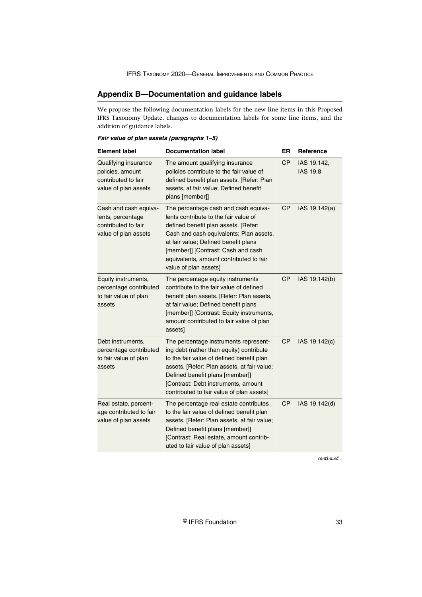# <span id="page-33-0"></span>**Appendix B—Documentation and guidance labels**

We propose the following documentation labels for the new line items in this Proposed IFRS Taxonomy Update, changes to documentation labels for some line items, and the addition of guidance labels.

# **Fair value of plan assets (paragraphs 1–5)**

| <b>Element label</b>                                                                      | <b>Documentation label</b>                                                                                                                                                                                                                                                                                         | ER        | Reference                      |
|-------------------------------------------------------------------------------------------|--------------------------------------------------------------------------------------------------------------------------------------------------------------------------------------------------------------------------------------------------------------------------------------------------------------------|-----------|--------------------------------|
| Qualifying insurance<br>policies, amount<br>contributed to fair<br>value of plan assets   | The amount qualifying insurance<br>policies contribute to the fair value of<br>defined benefit plan assets. [Refer: Plan<br>assets, at fair value; Defined benefit<br>plans [member]]                                                                                                                              | CP        | IAS 19.142,<br><b>IAS 19.8</b> |
| Cash and cash equiva-<br>lents, percentage<br>contributed to fair<br>value of plan assets | The percentage cash and cash equiva-<br>lents contribute to the fair value of<br>defined benefit plan assets. [Refer:<br>Cash and cash equivalents; Plan assets,<br>at fair value; Defined benefit plans<br>[member]] [Contrast: Cash and cash<br>equivalents, amount contributed to fair<br>value of plan assets] | <b>CP</b> | IAS 19.142(a)                  |
| Equity instruments,<br>percentage contributed<br>to fair value of plan<br>assets          | The percentage equity instruments<br>contribute to the fair value of defined<br>benefit plan assets. [Refer: Plan assets,<br>at fair value; Defined benefit plans<br>[member]] [Contrast: Equity instruments,<br>amount contributed to fair value of plan<br>assets]                                               | <b>CP</b> | IAS 19.142(b)                  |
| Debt instruments,<br>percentage contributed<br>to fair value of plan<br>assets            | The percentage instruments represent-<br>ing debt (rather than equity) contribute<br>to the fair value of defined benefit plan<br>assets. [Refer: Plan assets, at fair value;<br>Defined benefit plans [member]]<br>[Contrast: Debt instruments, amount<br>contributed to fair value of plan assets]               | <b>CP</b> | IAS 19.142(c)                  |
| Real estate, percent-<br>age contributed to fair<br>value of plan assets                  | The percentage real estate contributes<br>to the fair value of defined benefit plan<br>assets. [Refer: Plan assets, at fair value;<br>Defined benefit plans [member]]<br>[Contrast: Real estate, amount contrib-<br>uted to fair value of plan assets]                                                             | <b>CP</b> | IAS 19.142(d)                  |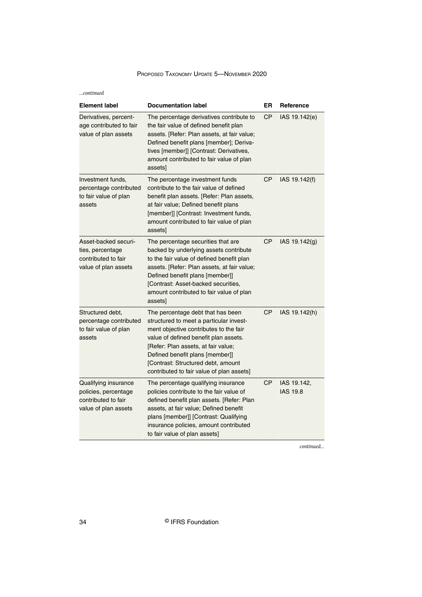*...continued*

| <b>Element label</b>                                                                        | <b>Documentation label</b>                                                                                                                                                                                                                                                                                                   | ER        | Reference                      |
|---------------------------------------------------------------------------------------------|------------------------------------------------------------------------------------------------------------------------------------------------------------------------------------------------------------------------------------------------------------------------------------------------------------------------------|-----------|--------------------------------|
| Derivatives, percent-<br>age contributed to fair<br>value of plan assets                    | The percentage derivatives contribute to<br>the fair value of defined benefit plan<br>assets. [Refer: Plan assets, at fair value;<br>Defined benefit plans [member]; Deriva-<br>tives [member]] [Contrast: Derivatives,<br>amount contributed to fair value of plan<br>assets]                                               | <b>CP</b> | IAS 19.142(e)                  |
| Investment funds,<br>percentage contributed<br>to fair value of plan<br>assets              | The percentage investment funds<br>contribute to the fair value of defined<br>benefit plan assets. [Refer: Plan assets,<br>at fair value; Defined benefit plans<br>[member]] [Contrast: Investment funds,<br>amount contributed to fair value of plan<br>assets]                                                             | СP        | IAS 19.142(f)                  |
| Asset-backed securi-<br>ties, percentage<br>contributed to fair<br>value of plan assets     | The percentage securities that are<br>backed by underlying assets contribute<br>to the fair value of defined benefit plan<br>assets. [Refer: Plan assets, at fair value;<br>Defined benefit plans [member]]<br>[Contrast: Asset-backed securities,<br>amount contributed to fair value of plan<br>assets]                    | <b>CP</b> | IAS 19.142(g)                  |
| Structured debt,<br>percentage contributed<br>to fair value of plan<br>assets               | The percentage debt that has been<br>structured to meet a particular invest-<br>ment objective contributes to the fair<br>value of defined benefit plan assets.<br>[Refer: Plan assets, at fair value;<br>Defined benefit plans [member]]<br>[Contrast: Structured debt, amount<br>contributed to fair value of plan assets] | <b>CP</b> | IAS 19.142(h)                  |
| Qualifying insurance<br>policies, percentage<br>contributed to fair<br>value of plan assets | The percentage qualifying insurance<br>policies contribute to the fair value of<br>defined benefit plan assets. [Refer: Plan<br>assets, at fair value; Defined benefit<br>plans [member]] [Contrast: Qualifying<br>insurance policies, amount contributed<br>to fair value of plan assets]                                   | <b>CP</b> | IAS 19.142,<br><b>IAS 19.8</b> |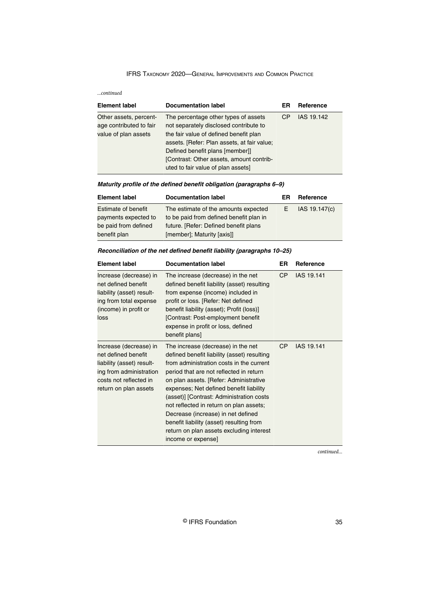*...continued*

| <b>Element label</b>                                                      | <b>Documentation label</b>                                                                                                                                                                                                                                                                   | ER | Reference  |
|---------------------------------------------------------------------------|----------------------------------------------------------------------------------------------------------------------------------------------------------------------------------------------------------------------------------------------------------------------------------------------|----|------------|
| Other assets, percent-<br>age contributed to fair<br>value of plan assets | The percentage other types of assets<br>not separately disclosed contribute to<br>the fair value of defined benefit plan<br>assets. [Refer: Plan assets, at fair value;<br>Defined benefit plans [member]]<br>[Contrast: Other assets, amount contrib-<br>uted to fair value of plan assets] | CP | IAS 19.142 |

# **Maturity profile of the defined benefit obligation (paragraphs 6–9)**

| <b>Element label</b>       | <b>Documentation label</b>              | ER | Reference     |
|----------------------------|-----------------------------------------|----|---------------|
| <b>Estimate of benefit</b> | The estimate of the amounts expected    |    | IAS 19.147(c) |
| payments expected to       | to be paid from defined benefit plan in |    |               |
| be paid from defined       | future. [Refer: Defined benefit plans   |    |               |
| benefit plan               | [member]; Maturity [axis]]              |    |               |

# **Reconciliation of the net defined benefit liability (paragraphs 10–25)**

| <b>Element label</b>                                                                                                                                     | <b>Documentation label</b>                                                                                                                                                                                                                                                                                                                                                                                                                                                                               | ER        | Reference  |
|----------------------------------------------------------------------------------------------------------------------------------------------------------|----------------------------------------------------------------------------------------------------------------------------------------------------------------------------------------------------------------------------------------------------------------------------------------------------------------------------------------------------------------------------------------------------------------------------------------------------------------------------------------------------------|-----------|------------|
| Increase (decrease) in<br>net defined benefit<br>liability (asset) result-<br>ing from total expense<br>(income) in profit or<br>loss                    | The increase (decrease) in the net<br>defined benefit liability (asset) resulting<br>from expense (income) included in<br>profit or loss. [Refer: Net defined<br>benefit liability (asset); Profit (loss)]<br>[Contrast: Post-employment benefit<br>expense in profit or loss, defined<br>benefit plans]                                                                                                                                                                                                 | <b>CP</b> | IAS 19.141 |
| Increase (decrease) in<br>net defined benefit<br>liability (asset) result-<br>ing from administration<br>costs not reflected in<br>return on plan assets | The increase (decrease) in the net<br>defined benefit liability (asset) resulting<br>from administration costs in the current<br>period that are not reflected in return<br>on plan assets. [Refer: Administrative<br>expenses; Net defined benefit liability<br>(asset)] [Contrast: Administration costs<br>not reflected in return on plan assets;<br>Decrease (increase) in net defined<br>benefit liability (asset) resulting from<br>return on plan assets excluding interest<br>income or expense] | <b>CP</b> | IAS 19.141 |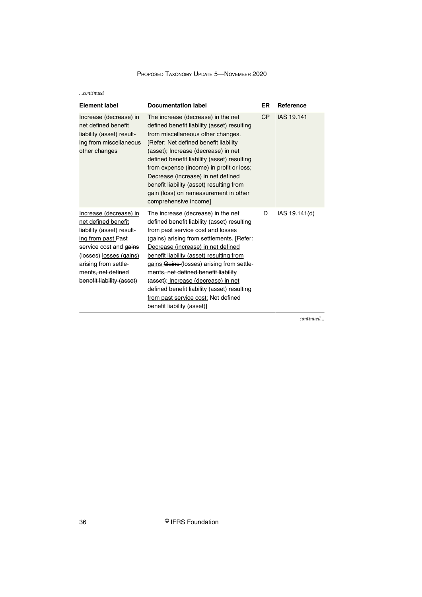*...continued*

| <b>Element label</b>                                                                                                                                                                                                                         | <b>Documentation label</b>                                                                                                                                                                                                                                                                                                                                                                                                                                                                            | ER  | Reference     |
|----------------------------------------------------------------------------------------------------------------------------------------------------------------------------------------------------------------------------------------------|-------------------------------------------------------------------------------------------------------------------------------------------------------------------------------------------------------------------------------------------------------------------------------------------------------------------------------------------------------------------------------------------------------------------------------------------------------------------------------------------------------|-----|---------------|
| Increase (decrease) in<br>net defined benefit<br>liability (asset) result-<br>ing from miscellaneous<br>other changes                                                                                                                        | The increase (decrease) in the net<br>defined benefit liability (asset) resulting<br>from miscellaneous other changes.<br>[Refer: Net defined benefit liability<br>(asset); Increase (decrease) in net<br>defined benefit liability (asset) resulting<br>from expense (income) in profit or loss;<br>Decrease (increase) in net defined<br>benefit liability (asset) resulting from<br>gain (loss) on remeasurement in other<br>comprehensive income]                                                 | CP. | IAS 19.141    |
| Increase (decrease) in<br>net defined benefit<br>liability (asset) result-<br>ing from past Past<br>service cost and gains<br>(losses)-losses (gains)<br>arising from settle-<br>ments <del>, net defined</del><br>benefit liability (asset) | The increase (decrease) in the net<br>defined benefit liability (asset) resulting<br>from past service cost and losses<br>(gains) arising from settlements. [Refer:<br>Decrease (increase) in net defined<br>benefit liability (asset) resulting from<br>gains Gains (losses) arising from settle-<br>ments, net defined benefit liability<br>(asset); Increase (decrease) in net<br>defined benefit liability (asset) resulting<br>from past service cost; Net defined<br>benefit liability (asset)] | D   | IAS 19.141(d) |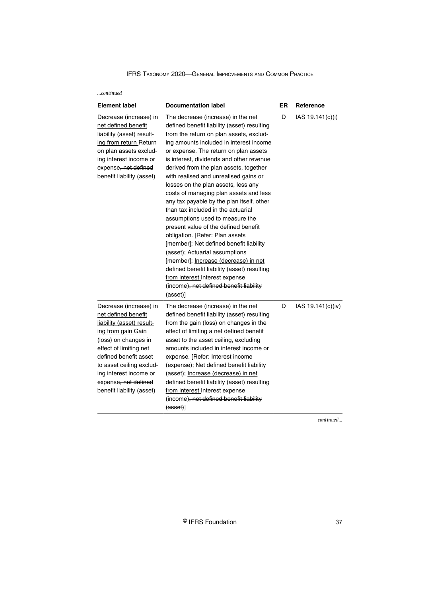*...continued*

| <b>Element label</b>                                                                                                                                                                                                                                                                   | <b>Documentation label</b>                                                                                                                                                                                                                                                                                                                                                                                                                                                                                                                                                                                                                                                                                                                                                                                                                                                                               | ER | Reference         |
|----------------------------------------------------------------------------------------------------------------------------------------------------------------------------------------------------------------------------------------------------------------------------------------|----------------------------------------------------------------------------------------------------------------------------------------------------------------------------------------------------------------------------------------------------------------------------------------------------------------------------------------------------------------------------------------------------------------------------------------------------------------------------------------------------------------------------------------------------------------------------------------------------------------------------------------------------------------------------------------------------------------------------------------------------------------------------------------------------------------------------------------------------------------------------------------------------------|----|-------------------|
| Decrease (increase) in<br>net defined benefit<br>liability (asset) result-<br>ing from return Return<br>on plan assets exclud-<br>ing interest income or<br>expense, net defined<br>benefit liability (asset)                                                                          | The decrease (increase) in the net<br>defined benefit liability (asset) resulting<br>from the return on plan assets, exclud-<br>ing amounts included in interest income<br>or expense. The return on plan assets<br>is interest, dividends and other revenue<br>derived from the plan assets, together<br>with realised and unrealised gains or<br>losses on the plan assets, less any<br>costs of managing plan assets and less<br>any tax payable by the plan itself, other<br>than tax included in the actuarial<br>assumptions used to measure the<br>present value of the defined benefit<br>obligation. [Refer: Plan assets<br>[member]; Net defined benefit liability<br>(asset); Actuarial assumptions<br>[member]; <i>Increase (decrease)</i> in net<br>defined benefit liability (asset) resulting<br>from interest Interest-expense<br>(income), net defined benefit liability<br>${(asset)}$ | D  | IAS 19.141(c)(i)  |
| Decrease (increase) in<br>net defined benefit<br>liability (asset) result-<br>ing from gain Gain<br>(loss) on changes in<br>effect of limiting net<br>defined benefit asset<br>to asset ceiling exclud-<br>ing interest income or<br>expense, net defined<br>benefit liability (asset) | The decrease (increase) in the net<br>defined benefit liability (asset) resulting<br>from the gain (loss) on changes in the<br>effect of limiting a net defined benefit<br>asset to the asset ceiling, excluding<br>amounts included in interest income or<br>expense. [Refer: Interest income<br>(expense); Net defined benefit liability<br>(asset); Increase (decrease) in net<br>defined benefit liability (asset) resulting<br>from interest Interest-expense<br>(income), net defined benefit liability<br>$(asset)$ ]                                                                                                                                                                                                                                                                                                                                                                             | D  | IAS 19.141(c)(iv) |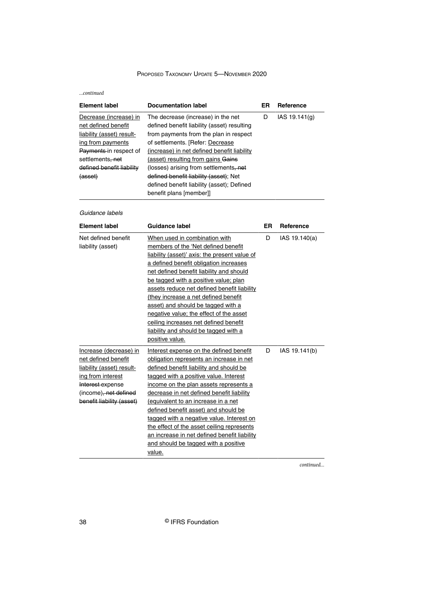*...continued*

| <b>Element label</b>         | <b>Documentation label</b>                  | ER | Reference     |
|------------------------------|---------------------------------------------|----|---------------|
| Decrease (increase) in       | The decrease (increase) in the net          | D  | IAS 19.141(q) |
| net defined benefit          | defined benefit liability (asset) resulting |    |               |
| liability (asset) result-    | from payments from the plan in respect      |    |               |
| ing from payments            | of settlements. [Refer: Decrease]           |    |               |
| Payments-in respect of       | (increase) in net defined benefit liability |    |               |
| settlements <del>, net</del> | (asset) resulting from gains Gains          |    |               |
| defined benefit liability    | (losses) arising from settlements, net      |    |               |
| (asset)                      | defined benefit liability (asset); Net      |    |               |
|                              | defined benefit liability (asset); Defined  |    |               |
|                              | benefit plans [member]]                     |    |               |

# Guidance labels

| <b>Element label</b>                                                                                                                                                      | Guidance label                                                                                                                                                                                                                                                                                                                                                                                                                                                                                                                              | ER | Reference     |
|---------------------------------------------------------------------------------------------------------------------------------------------------------------------------|---------------------------------------------------------------------------------------------------------------------------------------------------------------------------------------------------------------------------------------------------------------------------------------------------------------------------------------------------------------------------------------------------------------------------------------------------------------------------------------------------------------------------------------------|----|---------------|
| Net defined benefit<br>liability (asset)                                                                                                                                  | When used in combination with<br>members of the 'Net defined benefit<br>liability (asset)' axis: the present value of<br>a defined benefit obligation increases<br>net defined benefit liability and should<br>be tagged with a positive value; plan<br>assets reduce net defined benefit liability<br>(they increase a net defined benefit<br>asset) and should be tagged with a<br>negative value; the effect of the asset<br>ceiling increases net defined benefit<br>liability and should be tagged with a<br>positive value.           | D  | IAS 19.140(a) |
| Increase (decrease) in<br>net defined benefit<br>liability (asset) result-<br>ing from interest<br>Interest-expense<br>(income), net defined<br>benefit liability (asset) | Interest expense on the defined benefit<br>obligation represents an increase in net<br>defined benefit liability and should be<br>tagged with a positive value. Interest<br>income on the plan assets represents a<br>decrease in net defined benefit liability<br>(equivalent to an increase in a net<br>defined benefit asset) and should be<br>tagged with a negative value. Interest on<br>the effect of the asset ceiling represents<br>an increase in net defined benefit liability<br>and should be tagged with a positive<br>value. | D  | IAS 19.141(b) |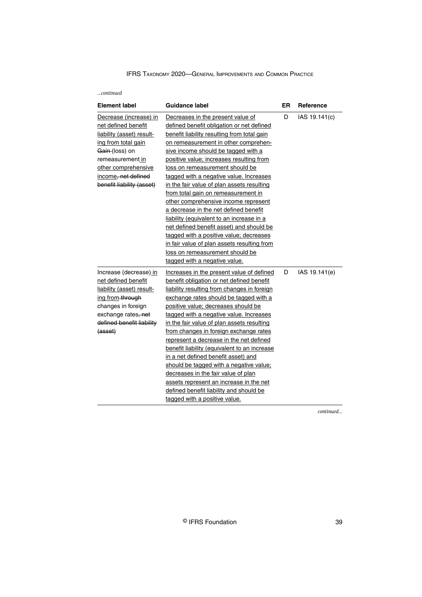#### *...continued*

| <b>Element label</b>      | Guidance label                               | <b>ER</b> | <b>Reference</b> |
|---------------------------|----------------------------------------------|-----------|------------------|
| Decrease (increase) in    | Decreases in the present value of            | D         | IAS 19.141(c)    |
| net defined benefit       | defined benefit obligation or net defined    |           |                  |
| liability (asset) result- | benefit liability resulting from total gain  |           |                  |
| ing from total gain       | on remeasurement in other comprehen-         |           |                  |
| Gain-(loss) on            | sive income should be tagged with a          |           |                  |
| remeasurement in          | positive value; increases resulting from     |           |                  |
| other comprehensive       | loss on remeasurement should be              |           |                  |
| income, net defined       | tagged with a negative value. Increases      |           |                  |
| benefit liability (asset) | in the fair value of plan assets resulting   |           |                  |
|                           | from total gain on remeasurement in          |           |                  |
|                           | other comprehensive income represent         |           |                  |
|                           | a decrease in the net defined benefit        |           |                  |
|                           | liability (equivalent to an increase in a    |           |                  |
|                           | net defined benefit asset) and should be     |           |                  |
|                           | tagged with a positive value; decreases      |           |                  |
|                           | in fair value of plan assets resulting from  |           |                  |
|                           | loss on remeasurement should be              |           |                  |
|                           | tagged with a negative value.                |           |                  |
| Increase (decrease)_in    | Increases in the present value of defined    | D         | IAS 19.141(e)    |
| net defined benefit       | benefit obligation or net defined benefit    |           |                  |
| liability (asset) result- | liability resulting from changes in foreign  |           |                  |
| ing from-through          | exchange rates should be tagged with a       |           |                  |
| changes in foreign        | positive value; decreases should be          |           |                  |
| exchange rates, net       | tagged with a negative value. Increases      |           |                  |
| defined benefit liability | in the fair value of plan assets resulting   |           |                  |
| (asset)                   | from changes in foreign exchange rates       |           |                  |
|                           | represent a decrease in the net defined      |           |                  |
|                           | benefit liability (equivalent to an increase |           |                  |
|                           | in a net defined benefit asset) and          |           |                  |
|                           | should be tagged with a negative value;      |           |                  |
|                           | decreases in the fair value of plan          |           |                  |
|                           | assets represent an increase in the net      |           |                  |
|                           | defined benefit liability and should be      |           |                  |
|                           | tagged with a positive value.                |           |                  |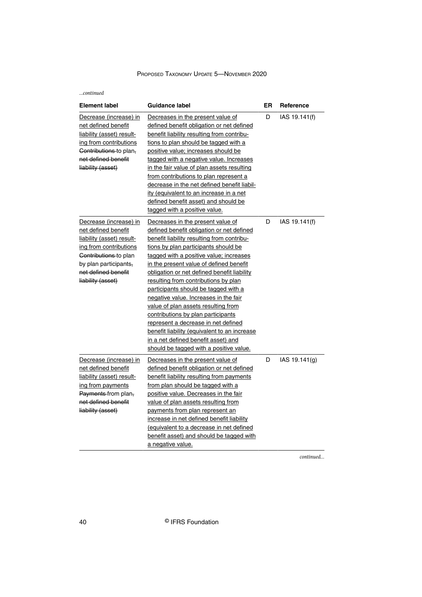*...continued*

| <b>Element label</b>                                                                                                                                                                               | <b>Guidance label</b>                                                                                                                                                                                                                                                                                                                                                                                                                                                                                                                                                                                                                                                                    | ER | Reference     |
|----------------------------------------------------------------------------------------------------------------------------------------------------------------------------------------------------|------------------------------------------------------------------------------------------------------------------------------------------------------------------------------------------------------------------------------------------------------------------------------------------------------------------------------------------------------------------------------------------------------------------------------------------------------------------------------------------------------------------------------------------------------------------------------------------------------------------------------------------------------------------------------------------|----|---------------|
| Decrease (increase) in<br>net defined benefit<br>liability (asset) result-<br>ing from contributions<br>Contributions-to plan-<br>net defined benefit<br>liability (asset)                         | Decreases in the present value of<br>defined benefit obligation or net defined<br>benefit liability resulting from contribu-<br>tions to plan should be tagged with a<br>positive value; increases should be<br>tagged with a negative value. Increases<br>in the fair value of plan assets resulting<br>from contributions to plan represent a<br>decrease in the net defined benefit liabil-<br>ity (equivalent to an increase in a net<br>defined benefit asset) and should be<br>tagged with a positive value.                                                                                                                                                                       | D  | IAS 19.141(f) |
| Decrease (increase) in<br>net defined benefit<br>liability (asset) result-<br>ing from contributions<br>Contributions to plan<br>by plan participants,<br>net defined benefit<br>liability (asset) | Decreases in the present value of<br>defined benefit obligation or net defined<br>benefit liability resulting from contribu-<br>tions by plan participants should be<br>tagged with a positive value; increases<br>in the present value of defined benefit<br>obligation or net defined benefit liability<br>resulting from contributions by plan<br>participants should be tagged with a<br>negative value. Increases in the fair<br>value of plan assets resulting from<br>contributions by plan participants<br>represent a decrease in net defined<br>benefit liability (equivalent to an increase<br>in a net defined benefit asset) and<br>should be tagged with a positive value. | D  | IAS 19.141(f) |
| Decrease (increase) in<br>net defined benefit<br>liability (asset) result-<br>ing from payments<br>Payments-from plan,<br>net defined benefit<br>liability (asset)                                 | Decreases in the present value of<br>defined benefit obligation or net defined<br>benefit liability resulting from payments<br>from plan should be tagged with a<br>positive value. Decreases in the fair<br>value of plan assets resulting from<br>payments from plan represent an<br>increase in net defined benefit liability<br>(equivalent to a decrease in net defined<br>benefit asset) and should be tagged with<br>a negative value.                                                                                                                                                                                                                                            | D  | IAS 19.141(g) |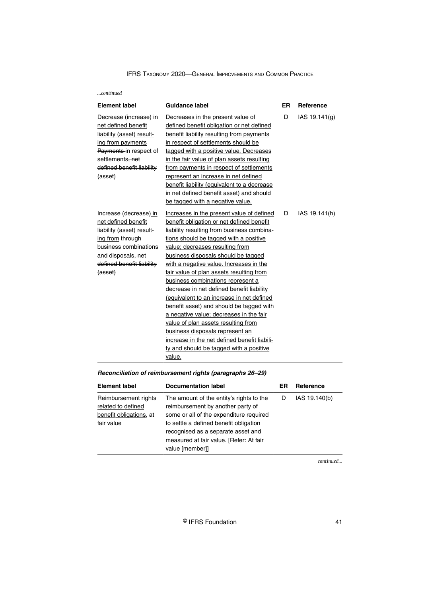| continued |  |
|-----------|--|
|           |  |

| <b>Element label</b>                                                                                                                                                                  | Guidance label                                                                                                                                                                                                                                                                                                                                                                                                                                                                                                                                                                                                                                                                                                                                       | ER | <b>Reference</b> |
|---------------------------------------------------------------------------------------------------------------------------------------------------------------------------------------|------------------------------------------------------------------------------------------------------------------------------------------------------------------------------------------------------------------------------------------------------------------------------------------------------------------------------------------------------------------------------------------------------------------------------------------------------------------------------------------------------------------------------------------------------------------------------------------------------------------------------------------------------------------------------------------------------------------------------------------------------|----|------------------|
| Decrease (increase) in<br>net defined benefit<br>liability (asset) result-<br>ing from payments<br>Payments-in respect of<br>settlements, net<br>defined benefit liability<br>(asset) | Decreases in the present value of<br>defined benefit obligation or net defined<br>benefit liability resulting from payments<br>in respect of settlements should be<br>tagged with a positive value. Decreases<br>in the fair value of plan assets resulting<br>from payments in respect of settlements<br>represent an increase in net defined<br>benefit liability (equivalent to a decrease<br>in net defined benefit asset) and should<br>be tagged with a negative value.                                                                                                                                                                                                                                                                        | D  | IAS 19.141(g)    |
| Increase (decrease)_in<br>net defined benefit<br>liability (asset) result-<br>ing from through<br>business combinations<br>and disposals, net<br>defined benefit liability<br>(asset) | Increases in the present value of defined<br>benefit obligation or net defined benefit<br>liability resulting from business combina-<br>tions should be tagged with a positive<br>value; decreases resulting from<br>business disposals should be tagged<br>with a negative value. Increases in the<br>fair value of plan assets resulting from<br>business combinations represent a<br>decrease in net defined benefit liability<br>(equivalent to an increase in net defined<br>benefit asset) and should be tagged with<br>a negative value; decreases in the fair<br>value of plan assets resulting from<br>business disposals represent an<br>increase in the net defined benefit liabili-<br>ty and should be tagged with a positive<br>value. | D  | IAS 19.141(h)    |

# **Reconciliation of reimbursement rights (paragraphs 26–29)**

| <b>Element label</b>                                                                | <b>Documentation label</b>                                                                                                                                                                                                                                             | ER | Reference     |
|-------------------------------------------------------------------------------------|------------------------------------------------------------------------------------------------------------------------------------------------------------------------------------------------------------------------------------------------------------------------|----|---------------|
| Reimbursement rights<br>related to defined<br>benefit obligations, at<br>fair value | The amount of the entity's rights to the<br>reimbursement by another party of<br>some or all of the expenditure required<br>to settle a defined benefit obligation<br>recognised as a separate asset and<br>measured at fair value. [Refer: At fair<br>value [member]] |    | IAS 19.140(b) |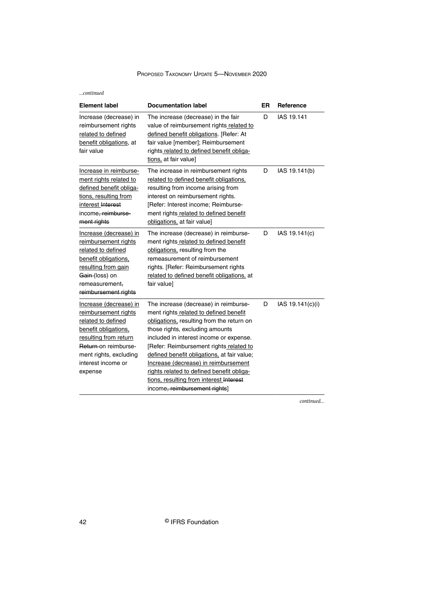*...continued*

| <b>Element label</b>                                                                                                                                                                                     | <b>Documentation label</b>                                                                                                                                                                                                                                                                                                                                                                                                                                            | ER | Reference        |
|----------------------------------------------------------------------------------------------------------------------------------------------------------------------------------------------------------|-----------------------------------------------------------------------------------------------------------------------------------------------------------------------------------------------------------------------------------------------------------------------------------------------------------------------------------------------------------------------------------------------------------------------------------------------------------------------|----|------------------|
| Increase (decrease) in<br>reimbursement rights<br>related to defined<br>benefit obligations, at<br>fair value                                                                                            | The increase (decrease) in the fair<br>value of reimbursement rights related to<br>defined benefit obligations. [Refer: At<br>fair value [member]; Reimbursement<br>rights related to defined benefit obliga-<br>tions, at fair value]                                                                                                                                                                                                                                | D  | IAS 19.141       |
| Increase in reimburse-<br>ment rights related to<br>defined benefit obliga-<br>tions, resulting from<br>interest Interest<br>income, reimburse-<br>ment rights                                           | The increase in reimbursement rights<br>related to defined benefit obligations,<br>resulting from income arising from<br>interest on reimbursement rights.<br>[Refer: Interest income; Reimburse-<br>ment rights_related to defined benefit<br>obligations, at fair value]                                                                                                                                                                                            | D  | IAS 19.141(b)    |
| Increase (decrease) in<br>reimbursement rights<br>related to defined<br>benefit obligations,<br>resulting from gain<br>Gain-(loss) on<br>remeasurement-<br>reimbursement rights                          | The increase (decrease) in reimburse-<br>ment rights related to defined benefit<br>obligations, resulting from the<br>remeasurement of reimbursement<br>rights. [Refer: Reimbursement rights<br>related to defined benefit obligations, at<br>fair value]                                                                                                                                                                                                             | D  | IAS 19.141(c)    |
| Increase (decrease) in<br>reimbursement rights<br>related to defined<br>benefit obligations,<br>resulting from return<br>Return on reimburse-<br>ment rights, excluding<br>interest income or<br>expense | The increase (decrease) in reimburse-<br>ment rights related to defined benefit<br>obligations, resulting from the return on<br>those rights, excluding amounts<br>included in interest income or expense.<br>[Refer: Reimbursement rights_related to<br>defined benefit obligations, at fair value;<br>Increase (decrease) in reimbursement<br>rights related to defined benefit obliga-<br>tions, resulting from interest Interest<br>income, reimbursement rights] | D  | IAS 19.141(c)(i) |

*continued...*

42 © IFRS Foundation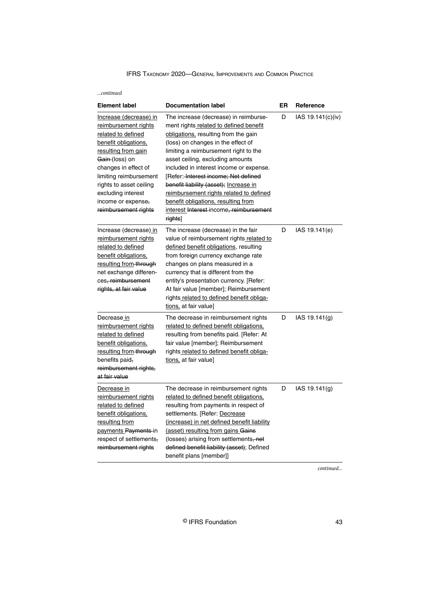| continued                                                                                                                                                                                                                                                                                          |                                                                                                                                                                                                                                                                                                                                                                                                                                                                                                                 |    |                           |
|----------------------------------------------------------------------------------------------------------------------------------------------------------------------------------------------------------------------------------------------------------------------------------------------------|-----------------------------------------------------------------------------------------------------------------------------------------------------------------------------------------------------------------------------------------------------------------------------------------------------------------------------------------------------------------------------------------------------------------------------------------------------------------------------------------------------------------|----|---------------------------|
| <b>Element label</b>                                                                                                                                                                                                                                                                               | <b>Documentation label</b>                                                                                                                                                                                                                                                                                                                                                                                                                                                                                      | ER | Reference                 |
| Increase (decrease) in<br>reimbursement rights<br>related to defined<br>benefit obligations,<br>resulting from gain<br><del>Gain (</del> loss) on<br>changes in effect of<br>limiting reimbursement<br>rights to asset ceiling<br>excluding interest<br>income or expense,<br>reimbursement rights | The increase (decrease) in reimburse-<br>ment rights related to defined benefit<br>obligations, resulting from the gain<br>(loss) on changes in the effect of<br>limiting a reimbursement right to the<br>asset ceiling, excluding amounts<br>included in interest income or expense.<br>[Refer: Interest income; Net defined<br>benefit liability (asset); Increase in<br>reimbursement rights related to defined<br>benefit obligations, resulting from<br>interest Interest-income, reimbursement<br>rights] | D  | IAS 19.141(c)(iv)         |
| Increase (decrease) in<br>reimbursement rights<br>related to defined<br>benefit obligations,<br>resulting from-through<br>net exchange differen-<br>ces, reimbursement<br>rights, at fair value                                                                                                    | The increase (decrease) in the fair<br>value of reimbursement rights related to<br>defined benefit obligations, resulting<br>from foreign currency exchange rate<br>changes on plans measured in a<br>currency that is different from the<br>entity's presentation currency. [Refer:<br>At fair value [member]; Reimbursement<br>rights related to defined benefit obliga-<br>tions, at fair value]                                                                                                             | D  | IAS 19.141(e)             |
| Decrease in<br>reimbursement rights<br>related to defined<br>benefit obligations,<br>resulting from-through<br>benefits paid,<br>reimbursement rights,<br>at fair value                                                                                                                            | The decrease in reimbursement rights<br><u>related to defined benefit obligations,</u><br>resulting from benefits paid. [Refer: At<br>fair value [member]; Reimbursement<br>rights related to defined benefit obliga-<br>tions, at fair value]                                                                                                                                                                                                                                                                  | D  | IAS 19.141 <sub>(g)</sub> |
| Decrease in<br>reimbursement rights<br>related to defined<br>benefit obligations,<br>resulting from<br>payments Payments-in<br>respect of settlements,<br>reimbursement rights                                                                                                                     | The decrease in reimbursement rights<br><u>related to defined benefit obligations,</u><br>resulting from payments in respect of<br>settlements. [Refer: Decrease<br>(increase) in net defined benefit liability<br>(asset) resulting from gains Gains<br>(losses) arising from settlements, net<br>defined benefit liability (asset); Defined<br>benefit plans [member]]                                                                                                                                        | D  | IAS 19.141(g)             |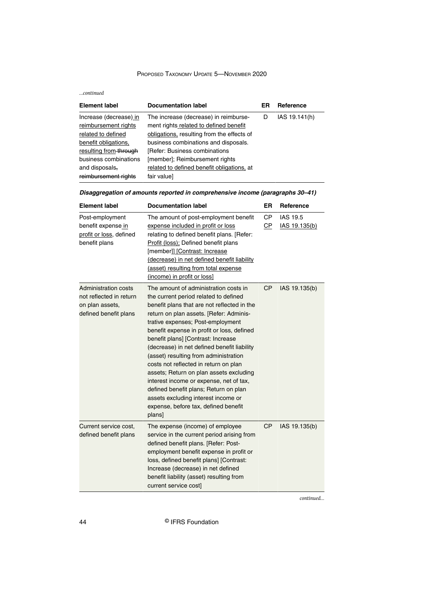#### *...continued*

| <b>Element label</b>   | <b>Documentation label</b>                 | ER | Reference     |
|------------------------|--------------------------------------------|----|---------------|
| Increase (decrease) in | The increase (decrease) in reimburse-      | D  | IAS 19.141(h) |
| reimbursement rights   | ment rights related to defined benefit     |    |               |
| related to defined     | obligations, resulting from the effects of |    |               |
| benefit obligations,   | business combinations and disposals.       |    |               |
| resulting from-through | [Refer: Business combinations]             |    |               |
| business combinations  | [member]; Reimbursement rights             |    |               |
| and disposals.         | related to defined benefit obligations, at |    |               |
| reimbursement rights   | fair value]                                |    |               |

| Disaggregation of amounts reported in comprehensive income (paragraphs 30–41) |  |
|-------------------------------------------------------------------------------|--|
|-------------------------------------------------------------------------------|--|

| <b>Element label</b>                                                                               | <b>Documentation label</b>                                                                                                                                                                                                                                                                                                                                                                                                                                                                                                                                                                                                                                 | ER               | Reference                 |
|----------------------------------------------------------------------------------------------------|------------------------------------------------------------------------------------------------------------------------------------------------------------------------------------------------------------------------------------------------------------------------------------------------------------------------------------------------------------------------------------------------------------------------------------------------------------------------------------------------------------------------------------------------------------------------------------------------------------------------------------------------------------|------------------|---------------------------|
| Post-employment<br>benefit expense_in<br>profit or loss, defined<br>benefit plans                  | The amount of post-employment benefit<br>expense included in profit or loss<br>relating to defined benefit plans. [Refer:<br>Profit (loss); Defined benefit plans<br>[member]] [Contrast: Increase<br>(decrease) in net defined benefit liability<br>(asset) resulting from total expense<br>(income) in profit or loss]                                                                                                                                                                                                                                                                                                                                   | <b>CP</b><br>C P | IAS 19.5<br>IAS 19.135(b) |
| <b>Administration costs</b><br>not reflected in return<br>on plan assets,<br>defined benefit plans | The amount of administration costs in<br>the current period related to defined<br>benefit plans that are not reflected in the<br>return on plan assets. [Refer: Adminis-<br>trative expenses; Post-employment<br>benefit expense in profit or loss, defined<br>benefit plans] [Contrast: Increase<br>(decrease) in net defined benefit liability<br>(asset) resulting from administration<br>costs not reflected in return on plan<br>assets; Return on plan assets excluding<br>interest income or expense, net of tax,<br>defined benefit plans; Return on plan<br>assets excluding interest income or<br>expense, before tax, defined benefit<br>plans] | <b>CP</b>        | IAS 19.135(b)             |
| Current service cost,<br>defined benefit plans                                                     | The expense (income) of employee<br>service in the current period arising from<br>defined benefit plans. [Refer: Post-<br>employment benefit expense in profit or<br>loss, defined benefit plans] [Contrast:<br>Increase (decrease) in net defined<br>benefit liability (asset) resulting from<br>current service cost]                                                                                                                                                                                                                                                                                                                                    | CP               | IAS 19.135(b)             |

*continued...*

44 © IFRS Foundation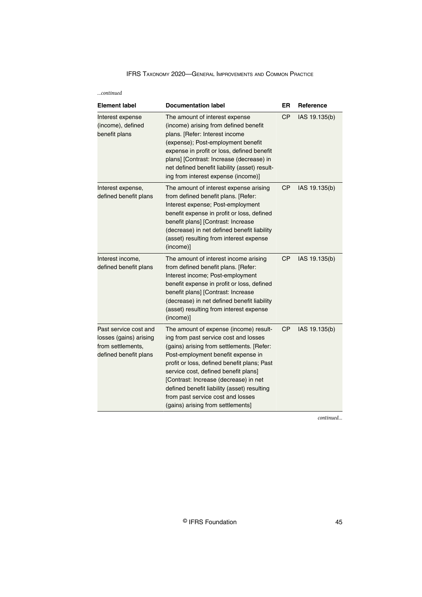| continued |  |
|-----------|--|
|           |  |

| <b>Element label</b>                                                                          | <b>Documentation label</b>                                                                                                                                                                                                                                                                                                                                                                                                  | ER        | Reference     |
|-----------------------------------------------------------------------------------------------|-----------------------------------------------------------------------------------------------------------------------------------------------------------------------------------------------------------------------------------------------------------------------------------------------------------------------------------------------------------------------------------------------------------------------------|-----------|---------------|
| Interest expense<br>(income), defined<br>benefit plans                                        | The amount of interest expense<br>(income) arising from defined benefit<br>plans. [Refer: Interest income<br>(expense); Post-employment benefit<br>expense in profit or loss, defined benefit<br>plans] [Contrast: Increase (decrease) in<br>net defined benefit liability (asset) result-<br>ing from interest expense (income)]                                                                                           | <b>CP</b> | IAS 19.135(b) |
| Interest expense,<br>defined benefit plans                                                    | The amount of interest expense arising<br>from defined benefit plans. [Refer:<br>Interest expense; Post-employment<br>benefit expense in profit or loss, defined<br>benefit plans] [Contrast: Increase<br>(decrease) in net defined benefit liability<br>(asset) resulting from interest expense<br>(income)]                                                                                                               | <b>CP</b> | IAS 19.135(b) |
| Interest income,<br>defined benefit plans                                                     | The amount of interest income arising<br>from defined benefit plans. [Refer:<br>Interest income; Post-employment<br>benefit expense in profit or loss, defined<br>benefit plans] [Contrast: Increase<br>(decrease) in net defined benefit liability<br>(asset) resulting from interest expense<br>(income)]                                                                                                                 | CP        | IAS 19.135(b) |
| Past service cost and<br>losses (gains) arising<br>from settlements.<br>defined benefit plans | The amount of expense (income) result-<br>ing from past service cost and losses<br>(gains) arising from settlements. [Refer:<br>Post-employment benefit expense in<br>profit or loss, defined benefit plans; Past<br>service cost, defined benefit plans]<br>[Contrast: Increase (decrease) in net<br>defined benefit liability (asset) resulting<br>from past service cost and losses<br>(gains) arising from settlements] | <b>CP</b> | IAS 19.135(b) |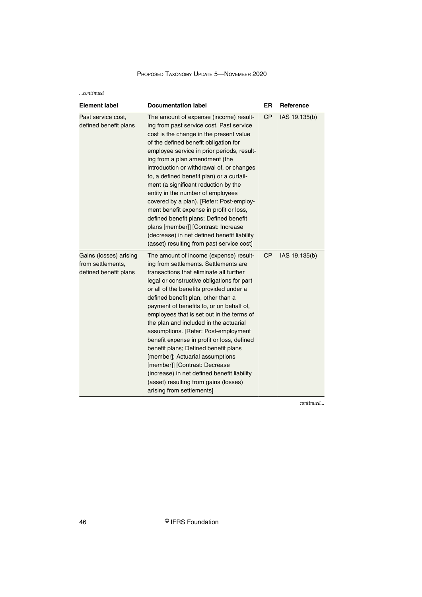| $$ continued                                                         |                                                                                                                                                                                                                                                                                                                                                                                                                                                                                                                                                                                                                                                                                                                     |           |               |  |
|----------------------------------------------------------------------|---------------------------------------------------------------------------------------------------------------------------------------------------------------------------------------------------------------------------------------------------------------------------------------------------------------------------------------------------------------------------------------------------------------------------------------------------------------------------------------------------------------------------------------------------------------------------------------------------------------------------------------------------------------------------------------------------------------------|-----------|---------------|--|
| <b>Element label</b>                                                 | <b>Documentation label</b>                                                                                                                                                                                                                                                                                                                                                                                                                                                                                                                                                                                                                                                                                          | <b>ER</b> | Reference     |  |
| Past service cost,<br>defined benefit plans                          | The amount of expense (income) result-<br>ing from past service cost. Past service<br>cost is the change in the present value<br>of the defined benefit obligation for<br>employee service in prior periods, result-<br>ing from a plan amendment (the<br>introduction or withdrawal of, or changes<br>to, a defined benefit plan) or a curtail-<br>ment (a significant reduction by the<br>entity in the number of employees<br>covered by a plan). [Refer: Post-employ-<br>ment benefit expense in profit or loss,<br>defined benefit plans; Defined benefit<br>plans [member]] [Contrast: Increase<br>(decrease) in net defined benefit liability<br>(asset) resulting from past service cost]                   | <b>CP</b> | IAS 19.135(b) |  |
| Gains (losses) arising<br>from settlements.<br>defined benefit plans | The amount of income (expense) result-<br>ing from settlements. Settlements are<br>transactions that eliminate all further<br>legal or constructive obligations for part<br>or all of the benefits provided under a<br>defined benefit plan, other than a<br>payment of benefits to, or on behalf of,<br>employees that is set out in the terms of<br>the plan and included in the actuarial<br>assumptions. [Refer: Post-employment<br>benefit expense in profit or loss, defined<br>benefit plans; Defined benefit plans<br>[member]; Actuarial assumptions<br>[member]] [Contrast: Decrease<br>(increase) in net defined benefit liability<br>(asset) resulting from gains (losses)<br>arising from settlements] | <b>CP</b> | IAS 19.135(b) |  |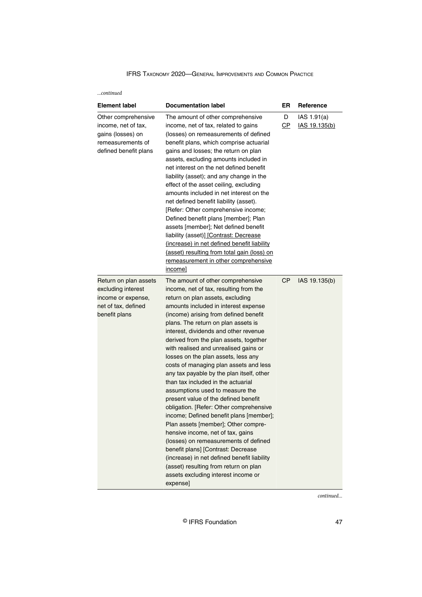| <b>Element label</b>                                                                                          | <b>Documentation label</b>                                                                                                                                                                                                                                                                                                                                                                                                                                                                                                                                                                                                                                                                                                                                                                                                                                                                                                                                                                                     | ER        | Reference                           |
|---------------------------------------------------------------------------------------------------------------|----------------------------------------------------------------------------------------------------------------------------------------------------------------------------------------------------------------------------------------------------------------------------------------------------------------------------------------------------------------------------------------------------------------------------------------------------------------------------------------------------------------------------------------------------------------------------------------------------------------------------------------------------------------------------------------------------------------------------------------------------------------------------------------------------------------------------------------------------------------------------------------------------------------------------------------------------------------------------------------------------------------|-----------|-------------------------------------|
| Other comprehensive<br>income, net of tax,<br>gains (losses) on<br>remeasurements of<br>defined benefit plans | The amount of other comprehensive<br>income, net of tax, related to gains<br>(losses) on remeasurements of defined<br>benefit plans, which comprise actuarial<br>gains and losses; the return on plan<br>assets, excluding amounts included in<br>net interest on the net defined benefit<br>liability (asset); and any change in the<br>effect of the asset ceiling, excluding<br>amounts included in net interest on the<br>net defined benefit liability (asset).<br>[Refer: Other comprehensive income;<br>Defined benefit plans [member]; Plan<br>assets [member]; Net defined benefit<br>liability (asset)] [Contrast: Decrease<br>(increase) in net defined benefit liability<br>(asset) resulting from total gain (loss) on<br>remeasurement in other comprehensive<br>income]                                                                                                                                                                                                                         | D<br>CP   | IAS 1.91(a)<br><u>IAS 19.135(b)</u> |
| Return on plan assets<br>excluding interest<br>income or expense,<br>net of tax, defined<br>benefit plans     | The amount of other comprehensive<br>income, net of tax, resulting from the<br>return on plan assets, excluding<br>amounts included in interest expense<br>(income) arising from defined benefit<br>plans. The return on plan assets is<br>interest, dividends and other revenue<br>derived from the plan assets, together<br>with realised and unrealised gains or<br>losses on the plan assets, less any<br>costs of managing plan assets and less<br>any tax payable by the plan itself, other<br>than tax included in the actuarial<br>assumptions used to measure the<br>present value of the defined benefit<br>obligation. [Refer: Other comprehensive<br>income; Defined benefit plans [member];<br>Plan assets [member]; Other compre-<br>hensive income, net of tax, gains<br>(losses) on remeasurements of defined<br>benefit plans] [Contrast: Decrease<br>(increase) in net defined benefit liability<br>(asset) resulting from return on plan<br>assets excluding interest income or<br>expense] | <b>CP</b> | IAS 19.135(b)                       |

*continued...*

© IFRS Foundation 47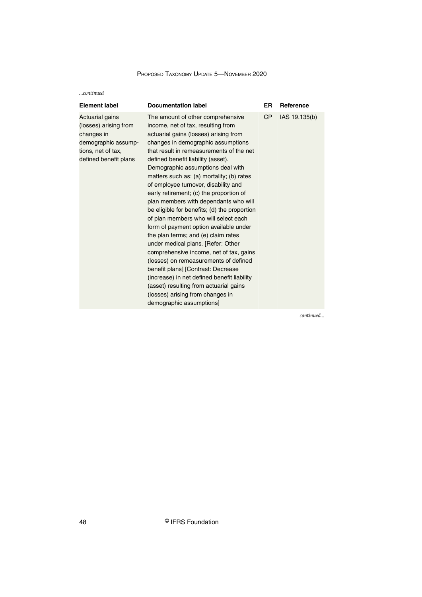*...continued*

| <b>Element label</b>                                                                                                         | <b>Documentation label</b>                                                                                                                                                                                                                                                                                                                                                                                                                                                                                                                                                                                                                                                                                                                                                                                                                                                                                                                               | ER        | Reference     |
|------------------------------------------------------------------------------------------------------------------------------|----------------------------------------------------------------------------------------------------------------------------------------------------------------------------------------------------------------------------------------------------------------------------------------------------------------------------------------------------------------------------------------------------------------------------------------------------------------------------------------------------------------------------------------------------------------------------------------------------------------------------------------------------------------------------------------------------------------------------------------------------------------------------------------------------------------------------------------------------------------------------------------------------------------------------------------------------------|-----------|---------------|
| Actuarial gains<br>(losses) arising from<br>changes in<br>demographic assump-<br>tions, net of tax,<br>defined benefit plans | The amount of other comprehensive<br>income, net of tax, resulting from<br>actuarial gains (losses) arising from<br>changes in demographic assumptions<br>that result in remeasurements of the net<br>defined benefit liability (asset).<br>Demographic assumptions deal with<br>matters such as: (a) mortality; (b) rates<br>of employee turnover, disability and<br>early retirement; (c) the proportion of<br>plan members with dependants who will<br>be eligible for benefits; (d) the proportion<br>of plan members who will select each<br>form of payment option available under<br>the plan terms; and (e) claim rates<br>under medical plans. [Refer: Other<br>comprehensive income, net of tax, gains<br>(losses) on remeasurements of defined<br>benefit plans] [Contrast: Decrease<br>(increase) in net defined benefit liability<br>(asset) resulting from actuarial gains<br>(losses) arising from changes in<br>demographic assumptions] | <b>CP</b> | IAS 19.135(b) |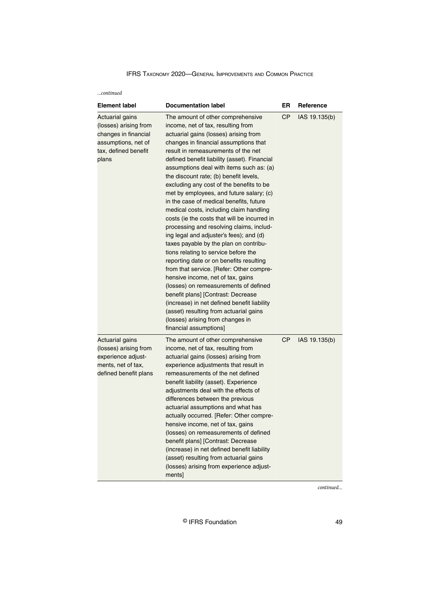| continued |  |
|-----------|--|
|           |  |

| <b>Element label</b>                                                                                                     | <b>Documentation label</b>                                                                                                                                                                                                                                                                                                                                                                                                                                                                                                                                                                                                                                                                                                                                                                                                                                                                                                                                                                                                                                                                                      | ER        | Reference     |
|--------------------------------------------------------------------------------------------------------------------------|-----------------------------------------------------------------------------------------------------------------------------------------------------------------------------------------------------------------------------------------------------------------------------------------------------------------------------------------------------------------------------------------------------------------------------------------------------------------------------------------------------------------------------------------------------------------------------------------------------------------------------------------------------------------------------------------------------------------------------------------------------------------------------------------------------------------------------------------------------------------------------------------------------------------------------------------------------------------------------------------------------------------------------------------------------------------------------------------------------------------|-----------|---------------|
| Actuarial gains<br>(losses) arising from<br>changes in financial<br>assumptions, net of<br>tax, defined benefit<br>plans | The amount of other comprehensive<br>income, net of tax, resulting from<br>actuarial gains (losses) arising from<br>changes in financial assumptions that<br>result in remeasurements of the net<br>defined benefit liability (asset). Financial<br>assumptions deal with items such as: (a)<br>the discount rate; (b) benefit levels,<br>excluding any cost of the benefits to be<br>met by employees, and future salary; (c)<br>in the case of medical benefits, future<br>medical costs, including claim handling<br>costs (ie the costs that will be incurred in<br>processing and resolving claims, includ-<br>ing legal and adjuster's fees); and (d)<br>taxes payable by the plan on contribu-<br>tions relating to service before the<br>reporting date or on benefits resulting<br>from that service. [Refer: Other compre-<br>hensive income, net of tax, gains<br>(losses) on remeasurements of defined<br>benefit plans] [Contrast: Decrease<br>(increase) in net defined benefit liability<br>(asset) resulting from actuarial gains<br>(losses) arising from changes in<br>financial assumptions] | <b>CP</b> | IAS 19.135(b) |
| Actuarial gains<br>(losses) arising from<br>experience adjust-<br>ments, net of tax,<br>defined benefit plans            | The amount of other comprehensive<br>income, net of tax, resulting from<br>actuarial gains (losses) arising from<br>experience adjustments that result in<br>remeasurements of the net defined<br>benefit liability (asset). Experience<br>adjustments deal with the effects of<br>differences between the previous<br>actuarial assumptions and what has<br>actually occurred. [Refer: Other compre-<br>hensive income, net of tax, gains<br>(losses) on remeasurements of defined<br>benefit plans] [Contrast: Decrease<br>(increase) in net defined benefit liability<br>(asset) resulting from actuarial gains<br>(losses) arising from experience adjust-<br>ments]                                                                                                                                                                                                                                                                                                                                                                                                                                        | CP        | IAS 19.135(b) |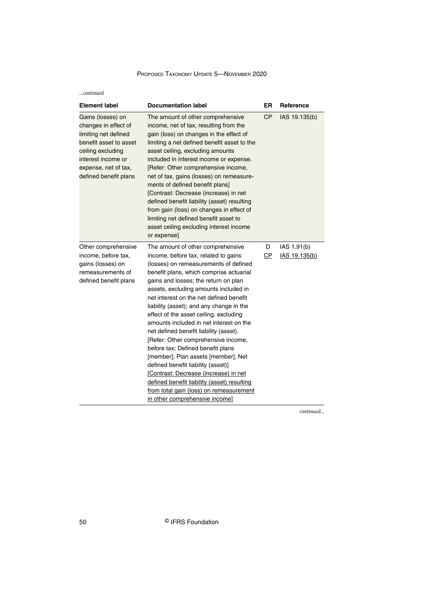*...continued*

| <b>Element label</b>                                                                                                                                                                    | <b>Documentation label</b>                                                                                                                                                                                                                                                                                                                                                                                                                                                                                                                                                                                                                                                                                                                                                                         | ER      | Reference                    |
|-----------------------------------------------------------------------------------------------------------------------------------------------------------------------------------------|----------------------------------------------------------------------------------------------------------------------------------------------------------------------------------------------------------------------------------------------------------------------------------------------------------------------------------------------------------------------------------------------------------------------------------------------------------------------------------------------------------------------------------------------------------------------------------------------------------------------------------------------------------------------------------------------------------------------------------------------------------------------------------------------------|---------|------------------------------|
| Gains (losses) on<br>changes in effect of<br>limiting net defined<br>benefit asset to asset<br>ceiling excluding<br>interest income or<br>expense, net of tax,<br>defined benefit plans | The amount of other comprehensive<br>income, net of tax, resulting from the<br>gain (loss) on changes in the effect of<br>limiting a net defined benefit asset to the<br>asset ceiling, excluding amounts<br>included in interest income or expense.<br>[Refer: Other comprehensive income,<br>net of tax, gains (losses) on remeasure-<br>ments of defined benefit plans]<br>[Contrast: Decrease (increase) in net<br>defined benefit liability (asset) resulting<br>from gain (loss) on changes in effect of<br>limiting net defined benefit asset to<br>asset ceiling excluding interest income<br>or expense]                                                                                                                                                                                  | СP      | IAS 19.135(b)                |
| Other comprehensive<br>income, before tax,<br>gains (losses) on<br>remeasurements of<br>defined benefit plans                                                                           | The amount of other comprehensive<br>income, before tax, related to gains<br>(losses) on remeasurements of defined<br>benefit plans, which comprise actuarial<br>gains and losses; the return on plan<br>assets, excluding amounts included in<br>net interest on the net defined benefit<br>liability (asset); and any change in the<br>effect of the asset ceiling, excluding<br>amounts included in net interest on the<br>net defined benefit liability (asset).<br>[Refer: Other comprehensive income,<br>before tax; Defined benefit plans<br>[member]; Plan assets [member]; Net<br>defined benefit liability (asset)]<br>[Contrast: Decrease (increase) in net<br>defined benefit liability (asset) resulting<br>from total gain (loss) on remeasurement<br>in other comprehensive income] | D<br>СP | IAS 1.91(b)<br>IAS 19.135(b) |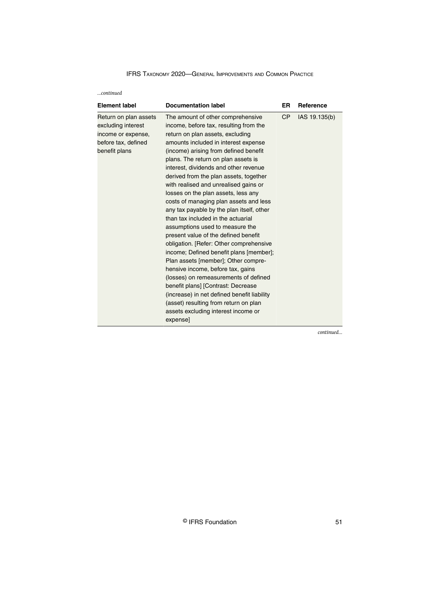*...continued*

| <b>Element label</b>                                                                                      | <b>Documentation label</b>                                                                                                                                                                                                                                                                                                                                                                                                                                                                                                                                                                                                                                                                                                                                                                                                                                                                                                                                                                                     | ER.       | <b>Reference</b> |
|-----------------------------------------------------------------------------------------------------------|----------------------------------------------------------------------------------------------------------------------------------------------------------------------------------------------------------------------------------------------------------------------------------------------------------------------------------------------------------------------------------------------------------------------------------------------------------------------------------------------------------------------------------------------------------------------------------------------------------------------------------------------------------------------------------------------------------------------------------------------------------------------------------------------------------------------------------------------------------------------------------------------------------------------------------------------------------------------------------------------------------------|-----------|------------------|
| Return on plan assets<br>excluding interest<br>income or expense,<br>before tax, defined<br>benefit plans | The amount of other comprehensive<br>income, before tax, resulting from the<br>return on plan assets, excluding<br>amounts included in interest expense<br>(income) arising from defined benefit<br>plans. The return on plan assets is<br>interest, dividends and other revenue<br>derived from the plan assets, together<br>with realised and unrealised gains or<br>losses on the plan assets, less any<br>costs of managing plan assets and less<br>any tax payable by the plan itself, other<br>than tax included in the actuarial<br>assumptions used to measure the<br>present value of the defined benefit<br>obligation. [Refer: Other comprehensive<br>income; Defined benefit plans [member];<br>Plan assets [member]; Other compre-<br>hensive income, before tax, gains<br>(losses) on remeasurements of defined<br>benefit plans] [Contrast: Decrease<br>(increase) in net defined benefit liability<br>(asset) resulting from return on plan<br>assets excluding interest income or<br>expense] | <b>CP</b> | IAS 19.135(b)    |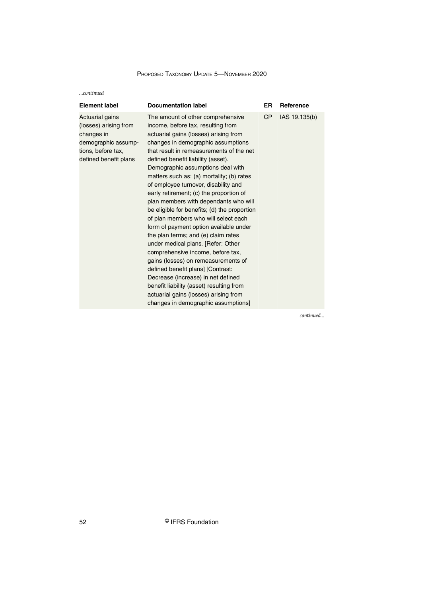*...continued*

| <b>Element label</b>                                                                                                         | <b>Documentation label</b>                                                                                                                                                                                                                                                                                                                                                                                                                                                                                                                                                                                                                                                                                                                                                                                                                                                                                                                               | ER        | Reference     |
|------------------------------------------------------------------------------------------------------------------------------|----------------------------------------------------------------------------------------------------------------------------------------------------------------------------------------------------------------------------------------------------------------------------------------------------------------------------------------------------------------------------------------------------------------------------------------------------------------------------------------------------------------------------------------------------------------------------------------------------------------------------------------------------------------------------------------------------------------------------------------------------------------------------------------------------------------------------------------------------------------------------------------------------------------------------------------------------------|-----------|---------------|
| Actuarial gains<br>(losses) arising from<br>changes in<br>demographic assump-<br>tions, before tax,<br>defined benefit plans | The amount of other comprehensive<br>income, before tax, resulting from<br>actuarial gains (losses) arising from<br>changes in demographic assumptions<br>that result in remeasurements of the net<br>defined benefit liability (asset).<br>Demographic assumptions deal with<br>matters such as: (a) mortality; (b) rates<br>of employee turnover, disability and<br>early retirement; (c) the proportion of<br>plan members with dependants who will<br>be eligible for benefits; (d) the proportion<br>of plan members who will select each<br>form of payment option available under<br>the plan terms; and (e) claim rates<br>under medical plans. [Refer: Other<br>comprehensive income, before tax,<br>gains (losses) on remeasurements of<br>defined benefit plans] [Contrast:<br>Decrease (increase) in net defined<br>benefit liability (asset) resulting from<br>actuarial gains (losses) arising from<br>changes in demographic assumptions] | <b>CP</b> | IAS 19.135(b) |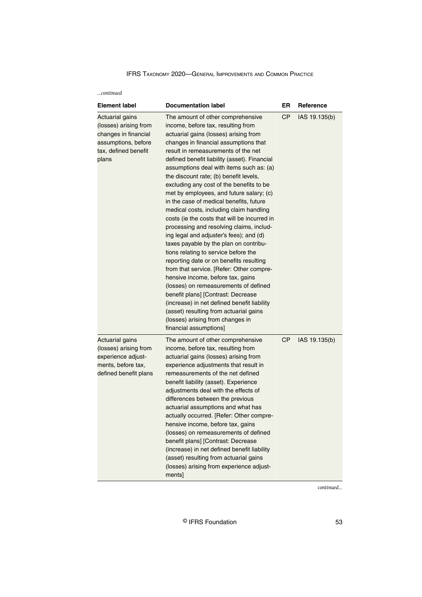| continued                                                                                                                       |                                                                                                                                                                                                                                                                                                                                                                                                                                                                                                                                                                                                                                                                                                                                                                                                                                                                                                                                                                                                                                                                                                                 |           |               |
|---------------------------------------------------------------------------------------------------------------------------------|-----------------------------------------------------------------------------------------------------------------------------------------------------------------------------------------------------------------------------------------------------------------------------------------------------------------------------------------------------------------------------------------------------------------------------------------------------------------------------------------------------------------------------------------------------------------------------------------------------------------------------------------------------------------------------------------------------------------------------------------------------------------------------------------------------------------------------------------------------------------------------------------------------------------------------------------------------------------------------------------------------------------------------------------------------------------------------------------------------------------|-----------|---------------|
| <b>Element label</b>                                                                                                            | <b>Documentation label</b>                                                                                                                                                                                                                                                                                                                                                                                                                                                                                                                                                                                                                                                                                                                                                                                                                                                                                                                                                                                                                                                                                      | ER        | Reference     |
| <b>Actuarial gains</b><br>(losses) arising from<br>changes in financial<br>assumptions, before<br>tax, defined benefit<br>plans | The amount of other comprehensive<br>income, before tax, resulting from<br>actuarial gains (losses) arising from<br>changes in financial assumptions that<br>result in remeasurements of the net<br>defined benefit liability (asset). Financial<br>assumptions deal with items such as: (a)<br>the discount rate; (b) benefit levels,<br>excluding any cost of the benefits to be<br>met by employees, and future salary; (c)<br>in the case of medical benefits, future<br>medical costs, including claim handling<br>costs (ie the costs that will be incurred in<br>processing and resolving claims, includ-<br>ing legal and adjuster's fees); and (d)<br>taxes payable by the plan on contribu-<br>tions relating to service before the<br>reporting date or on benefits resulting<br>from that service. [Refer: Other compre-<br>hensive income, before tax, gains<br>(losses) on remeasurements of defined<br>benefit plans] [Contrast: Decrease<br>(increase) in net defined benefit liability<br>(asset) resulting from actuarial gains<br>(losses) arising from changes in<br>financial assumptions] | <b>CP</b> | IAS 19.135(b) |
| <b>Actuarial gains</b><br>(losses) arising from<br>experience adjust-<br>ments, before tax,<br>defined benefit plans            | The amount of other comprehensive<br>income, before tax, resulting from<br>actuarial gains (losses) arising from<br>experience adjustments that result in<br>remeasurements of the net defined<br>benefit liability (asset). Experience<br>adjustments deal with the effects of<br>differences between the previous<br>actuarial assumptions and what has<br>actually occurred. [Refer: Other compre-<br>hensive income, before tax, gains<br>(losses) on remeasurements of defined<br>benefit plans] [Contrast: Decrease<br>(increase) in net defined benefit liability<br>(asset) resulting from actuarial gains<br>(losses) arising from experience adjust-<br>ments]                                                                                                                                                                                                                                                                                                                                                                                                                                        | <b>CP</b> | IAS 19.135(b) |